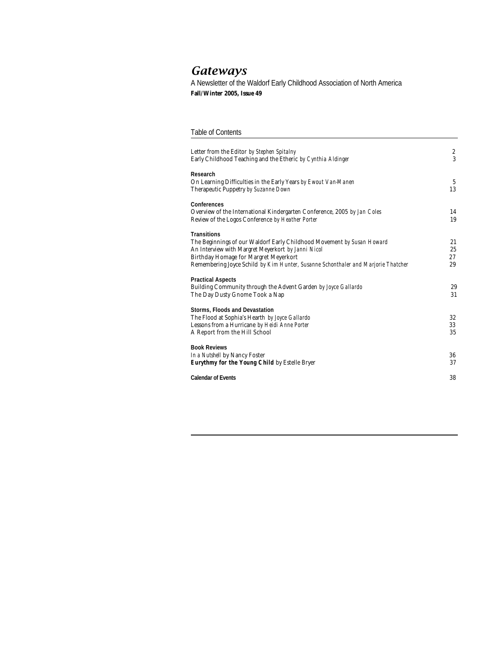# *Gateways*

A Newsletter of the Waldorf Early Childhood Association of North America **Fall/Winter 2005, Issue 49**

## Table of Contents

| Letter from the Editor by Stephen Spitalny<br>Early Childhood Teaching and the Etheric by Cynthia Aldinger                                                                                                                                                                       | $\sqrt{2}$<br>3      |
|----------------------------------------------------------------------------------------------------------------------------------------------------------------------------------------------------------------------------------------------------------------------------------|----------------------|
| Research<br>On Learning Difficulties in the Early Years by Ewout Van-Manen<br>Therapeutic Puppetry by Suzanne Down                                                                                                                                                               | 5<br>13              |
| Conferences<br>Overview of the International Kindergarten Conference, 2005 by Jan Coles<br>Review of the Logos Conference by Heather Porter                                                                                                                                      | 14<br>19             |
| <b>Transitions</b><br>The Beginnings of our Waldorf Early Childhood Movement by Susan Howard<br>An Interview with Margret Meyerkort by Janni Nicol<br>Birthday Homage for Margret Meyerkort<br>Remembering Joyce Schild by Kim Hunter, Susanne Schonthaler and Marjorie Thatcher | 21<br>25<br>27<br>29 |
| <b>Practical Aspects</b><br>Building Community through the Advent Garden by Joyce Gallardo<br>The Day Dusty Gnome Took a Nap                                                                                                                                                     | 29<br>31             |
| Storms, Floods and Devastation<br>The Flood at Sophia's Hearth by Joyce Gallardo<br>Lessons from a Hurricane by Heidi Anne Porter<br>A Report from the Hill School                                                                                                               | 32<br>33<br>35       |
| <b>Book Reviews</b><br>In a Nutshell by Nancy Foster<br>Eurythmy for the Young Child by Estelle Bryer                                                                                                                                                                            | 36<br>37             |
| <b>Calendar of Events</b>                                                                                                                                                                                                                                                        | 38                   |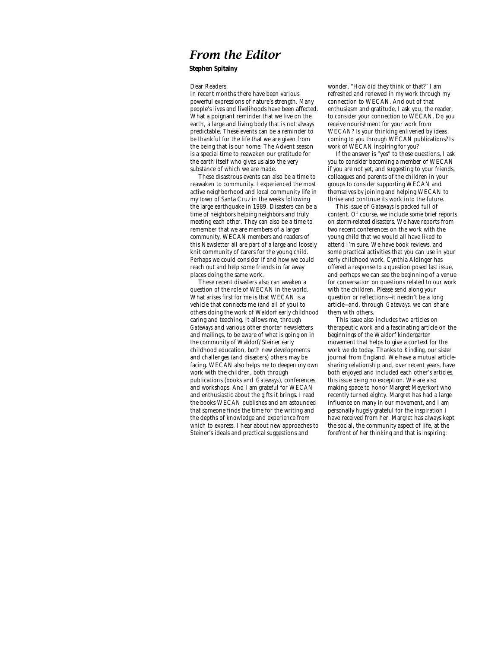# *From the Editor*

## **Stephen Spitalny**

### Dear Readers,

In recent months there have been various powerful expressions of nature's strength. Many people's lives and livelihoods have been affected. What a poignant reminder that we live on the earth, a large and living body that is not always predictable. These events can be a reminder to be thankful for the life that we are given from the being that is our home. The Advent season is a special time to reawaken our gratitude for the earth itself who gives us also the very substance of which we are made.

These disastrous events can also be a time to reawaken to community. I experienced the most active neighborhood and local community life in my town of Santa Cruz in the weeks following the large earthquake in 1989. Disasters can be a time of neighbors helping neighbors and truly meeting each other. They can also be a time to remember that we are members of a larger community. WECAN members and readers of this Newsletter all are part of a large and loosely knit community of carers for the young child. Perhaps we could consider if and how we could reach out and help some friends in far away places doing the same work.

These recent disasters also can awaken a question of the role of WECAN in the world. What arises first for me is that WECAN is a vehicle that connects me (and all of you) to others doing the work of Waldorf early childhood caring and teaching. It allows me, through *Gateways* and various other shorter newsletters and mailings, to be aware of what is going on in the community of Waldorf/Steiner early childhood education, both new developments and challenges (and disasters) others may be facing. WECAN also helps me to deepen my own work with the children, both through publications (books and *Gateways*), conferences and workshops. And I am grateful for WECAN and enthusiastic about the gifts it brings. I read the books WECAN publishes and am astounded that someone finds the time for the writing and the depths of knowledge and experience from which to express. I hear about new approaches to Steiner's ideals and practical suggestions and

wonder, "How did they think of that?" I am refreshed and renewed in my work through my connection to WECAN. And out of that enthusiasm and gratitude, I ask you, the reader, to consider your connection to WECAN. Do you receive nourishment for your work from WECAN? Is your thinking enlivened by ideas coming to you through WECAN publications? Is work of WECAN inspiring for you?

If the answer is "yes" to these questions, I ask you to consider becoming a member of WECAN if you are not yet, and suggesting to your friends, colleagues and parents of the children in your groups to consider supporting WECAN and themselves by joining and helping WECAN to thrive and continue its work into the future.

This issue of *Gateways* is packed full of content. Of course, we include some brief reports on storm-related disasters. We have reports from two recent conferences on the work with the young child that we would all have liked to attend I'm sure. We have book reviews, and some practical activities that you can use in your early childhood work. Cynthia Aldinger has offered a response to a question posed last issue, and perhaps we can see the beginning of a venue for conversation on questions related to our work with the children. Please send along your question or reflections—it needn't be a long article—and, through *Gateways,* we can share them with others.

This issue also includes two articles on therapeutic work and a fascinating article on the beginnings of the Waldorf kindergarten movement that helps to give a context for the work we do today. Thanks to *Kindling*, our sister journal from England. We have a mutual articlesharing relationship and, over recent years, have both enjoyed and included each other's articles, this issue being no exception. We are also making space to honor Margret Meyerkort who recently turned eighty. Margret has had a large influence on many in our movement, and I am personally hugely grateful for the inspiration I have received from her. Margret has always kept the social, the community aspect of life, at the forefront of her thinking and that is inspiring: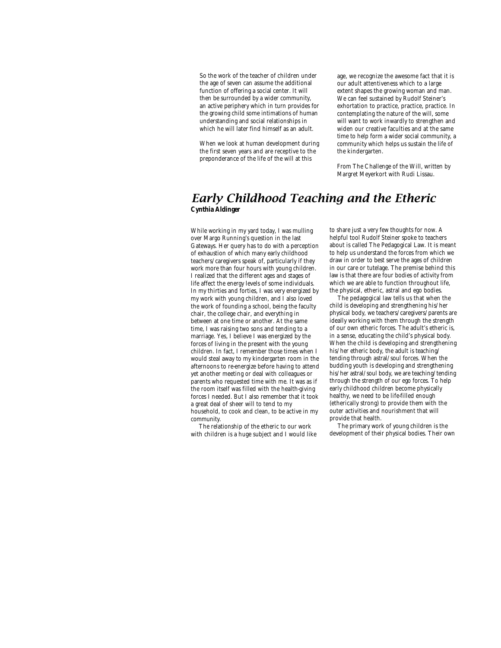So the work of the teacher of children under the age of seven can assume the additional function of offering a social center. It will then be surrounded by a wider community, an active periphery which in turn provides for the growing child some intimations of human understanding and social relationships in which he will later find himself as an adult.

When we look at human development during the first seven years and are receptive to the preponderance of the life of the will at this

age, we recognize the awesome fact that it is our adult attentiveness which to a large extent shapes the growing woman and man. We can feel sustained by Rudolf Steiner's exhortation to practice, practice, practice. In contemplating the nature of the will, some will want to work inwardly to strengthen and widen our creative faculties and at the same time to help form a wider social community, a community which helps us sustain the life of the kindergarten.

From The Challenge of the Will, written by Margret Meyerkort with Rudi Lissau.

## *Early Childhood Teaching and the Etheric* **Cynthia Aldinger**

While working in my yard today, I was mulling over Margo Running's question in the last Gateways. Her query has to do with a perception of exhaustion of which many early childhood teachers/caregivers speak of, particularly if they work more than four hours with young children. I realized that the different ages and stages of life affect the energy levels of some individuals. In my thirties and forties, I was very energized by my work with young children, and I also loved the work of founding a school, being the faculty chair, the college chair, and everything in between at one time or another. At the same time, I was raising two sons and tending to a marriage. Yes, I believe I was energized by the forces of living in the present with the young children. In fact, I remember those times when I would steal away to my kindergarten room in the afternoons to re-energize before having to attend yet another meeting or deal with colleagues or parents who requested time with me. It was as if the room itself was filled with the health-giving forces I needed. But I also remember that it took a great deal of sheer will to tend to my household, to cook and clean, to be active in my community.

The relationship of the etheric to our work with children is a huge subject and I would like to share just a very few thoughts for now. A helpful tool Rudolf Steiner spoke to teachers about is called The Pedagogical Law. It is meant to help us understand the forces from which we draw in order to best serve the ages of children in our care or tutelage. The premise behind this law is that there are four bodies of activity from which we are able to function throughout life, the physical, etheric, astral and ego bodies.

The pedagogical law tells us that when the child is developing and strengthening his/her physical body, we teachers/caregivers/parents are ideally working with them through the strength of our own etheric forces. The adult's etheric is, in a sense, educating the child's physical body. When the child is developing and strengthening his/her etheric body, the adult is teaching/ tending through astral/soul forces. When the budding youth is developing and strengthening his/her astral/soul body, we are teaching/tending through the strength of our ego forces. To help early childhood children become physically healthy, we need to be life-filled enough (etherically strong) to provide them with the outer activities and nourishment that will provide that health.

The primary work of young children is the development of their physical bodies. Their own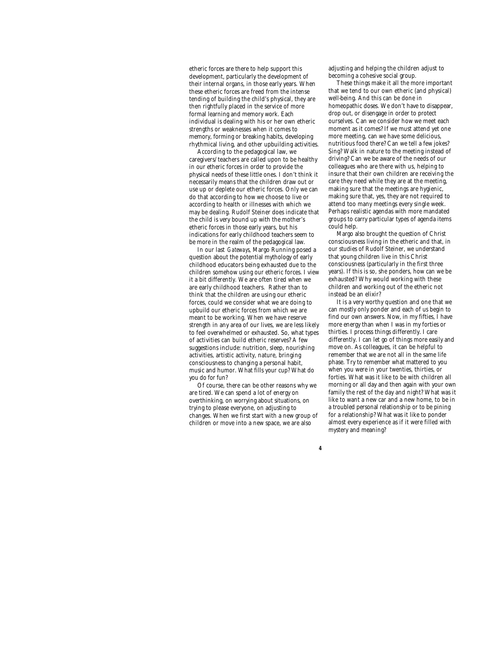etheric forces are there to help support this development, particularly the development of their internal organs, in those early years. When these etheric forces are freed from the intense tending of building the child's physical, they are then rightfully placed in the service of more formal learning and memory work. Each individual is dealing with his or her own etheric strengths or weaknesses when it comes to memory, forming or breaking habits, developing rhythmical living, and other upbuilding activities.

According to the pedagogical law, we caregivers/teachers are called upon to be healthy in our etheric forces in order to provide the physical needs of these little ones. I don't think it necessarily means that the children draw out or use up or deplete our etheric forces. Only we can do that according to how we choose to live or according to health or illnesses with which we may be dealing. Rudolf Steiner does indicate that the child is very bound up with the mother's etheric forces in those early years, but his indications for early childhood teachers seem to be more in the realm of the pedagogical law.

In our last *Gateways*, Margo Running posed a question about the potential mythology of early childhood educators being exhausted due to the children somehow using our etheric forces. I view it a bit differently. We are often tired when we are early childhood teachers. Rather than to think that the children are using our etheric forces, could we consider what we are doing to upbuild our etheric forces from which we are meant to be working. When we have reserve strength in any area of our lives, we are less likely to feel overwhelmed or exhausted. So, what types of activities can build etheric reserves? A few suggestions include: nutrition, sleep, nourishing activities, artistic activity, nature, bringing consciousness to changing a personal habit, music and humor. What fills your cup? What do you do for fun?

Of course, there can be other reasons why we are tired. We can spend a lot of energy on overthinking, on worrying about situations, on trying to please everyone, on adjusting to changes. When we first start with a new group of children or move into a new space, we are also

*4*

adjusting and helping the children adjust to becoming a cohesive social group.

These things make it all the more important that we tend to our own etheric (and physical) well-being. And this can be done in homeopathic doses. We don't have to disappear, drop out, or disengage in order to protect ourselves. Can we consider how we meet each moment as it comes? If we must attend yet one more meeting, can we have some delicious, nutritious food there? Can we tell a few jokes? Sing? Walk in nature to the meeting instead of driving? Can we be aware of the needs of our colleagues who are there with us, helping to insure that their own children are receiving the care they need while they are at the meeting, making sure that the meetings are hygienic, making sure that, yes, they are not required to attend too many meetings every single week. Perhaps realistic agendas with more mandated groups to carry particular types of agenda items could help.

Margo also brought the question of Christ consciousness living in the etheric and that, in our studies of Rudolf Steiner, we understand that young children live in this Christ consciousness (particularly in the first three years). If this is so, she ponders, how can we be exhausted? Why would working with these children and working out of the etheric not instead be an elixir?

It is a very worthy question and one that we can mostly only ponder and each of us begin to find our own answers. Now, in my fifties, I have more energy than when I was in my forties or thirties. I process things differently. I care differently. I can let go of things more easily and move on. As colleagues, it can be helpful to remember that we are not all in the same life phase. Try to remember what mattered to you when you were in your twenties, thirties, or forties. What was it like to be with children all morning or all day and then again with your own family the rest of the day and night? What was it like to want a new car and a new home, to be in a troubled personal relationship or to be pining for a relationship? What was it like to ponder almost every experience as if it were filled with mystery and meaning?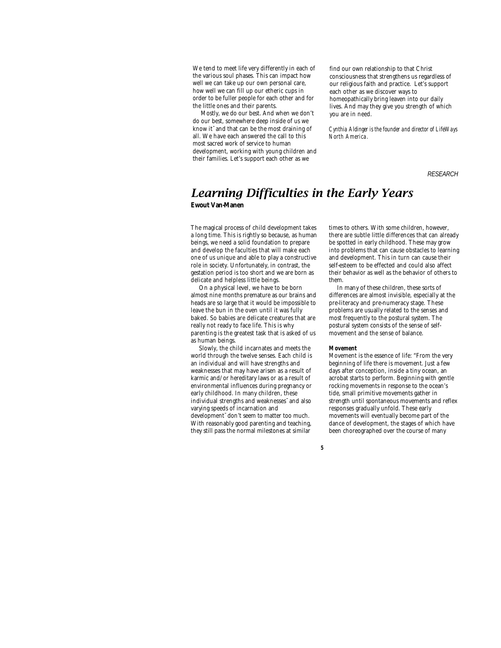We tend to meet life very differently in each of the various soul phases. This can impact how well we can take up our own personal care, how well we can fill up our etheric cups in order to be fuller people for each other and for the little ones and their parents.

Mostly, we do our best. And when we don't do our best, somewhere deep inside of us we know it¯and that can be the most draining of all. We have each answered the call to this most sacred work of service to human development, working with young children and their families. Let's support each other as we

find our own relationship to that Christ consciousness that strengthens us regardless of our religious faith and practice. Let's support each other as we discover ways to homeopathically bring leaven into our daily lives. And may they give you strength of which you are in need.

*Cynthia Aldinger is the founder and director of LifeWays North America.*

*RESEARCH*

## *Learning Difficulties in the Early Years* **Ewout Van-Manen**

The magical process of child development takes a long time. This is rightly so because, as human beings, we need a solid foundation to prepare and develop the faculties that will make each one of us unique and able to play a constructive role in society. Unfortunately, in contrast, the gestation period is too short and we are born as delicate and helpless little beings.

On a physical level, we have to be born almost nine months premature as our brains and heads are so large that it would be impossible to leave the bun in the oven until it was fully baked. So babies are delicate creatures that are really not ready to face life. This is why parenting is the greatest task that is asked of us as human beings.

Slowly, the child incarnates and meets the world through the twelve senses. Each child is an individual and will have strengths and weaknesses that may have arisen as a result of karmic and/or hereditary laws or as a result of environmental influences during pregnancy or early childhood. In many children, these individual strengths and weaknesses¯and also varying speeds of incarnation and development¯don't seem to matter too much. With reasonably good parenting and teaching, they still pass the normal milestones at similar

times to others. With some children, however, there are subtle little differences that can already be spotted in early childhood. These may grow into problems that can cause obstacles to learning and development. This in turn can cause their self-esteem to be effected and could also affect their behavior as well as the behavior of others to them.

In many of these children, these sorts of differences are almost invisible, especially at the pre-literacy and pre-numeracy stage. These problems are usually related to the senses and most frequently to the postural system. The postural system consists of the sense of selfmovement and the sense of balance.

#### *Movement*

Movement is the essence of life: "From the very beginning of life there is movement. Just a few days after conception, inside a tiny ocean, an acrobat starts to perform. Beginning with gentle rocking movements in response to the ocean's tide, small primitive movements gather in strength until spontaneous movements and reflex responses gradually unfold. These early movements will eventually become part of the dance of development, the stages of which have been choreographed over the course of many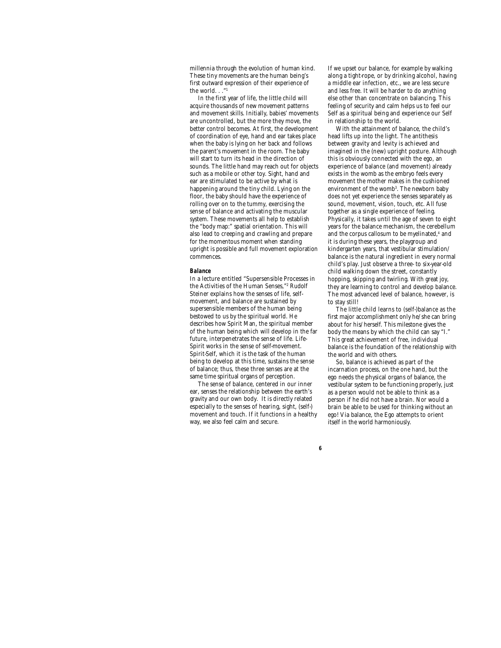millennia through the evolution of human kind. These tiny movements are the human being's first outward expression of their experience of the world. . ."1

In the first year of life, the little child will acquire thousands of new movement patterns and movement skills. Initially, babies' movements are uncontrolled, but the more they move, the better control becomes. At first, the development of coordination of eye, hand and ear takes place when the baby is lying on her back and follows the parent's movement in the room. The baby will start to turn its head in the direction of sounds. The little hand may reach out for objects such as a mobile or other toy. Sight, hand and ear are stimulated to be active by what is happening around the tiny child. Lying on the floor, the baby should have the experience of rolling over on to the tummy, exercising the sense of balance and activating the muscular system. These movements all help to establish the "body map:" spatial orientation. This will also lead to creeping and crawling and prepare for the momentous moment when standing upright is possible and full movement exploration commences.

## *Balance*

In a lecture entitled "Supersensible Processes in the Activities of the Human Senses,"<sup>2</sup> Rudolf Steiner explains how the senses of life, selfmovement, and balance are sustained by supersensible members of the human being bestowed to us by the spiritual world. He describes how Spirit Man, the spiritual member of the human being which will develop in the far future, interpenetrates the sense of life. Life-Spirit works in the sense of self-movement. Spirit-Self, which it is the task of the human being to develop at this time, sustains the sense of balance; thus, these three senses are at the same time spiritual organs of perception.

The sense of balance, centered in our inner ear, senses the relationship between the earth's gravity and our own body. It is directly related especially to the senses of hearing, sight, (self-) movement and touch. If it functions in a healthy way, we also feel calm and secure.

*6*

If we upset our balance, for example by walking along a tight-rope, or by drinking alcohol, having a middle ear infection, etc., we are less secure and less free. It will be harder to do anything else other than concentrate on balancing. This feeling of security and calm helps us to feel our Self as a spiritual being and experience our Self in relationship to the world.

With the attainment of balance, the child's head lifts up into the light. The antithesis between gravity and levity is achieved and imagined in the (new) upright posture. Although this is obviously connected with the ego, an experience of balance (and movement) already exists in the womb as the embryo feels every movement the mother makes in the cushioned environment of the womb<sup>3</sup>. The newborn baby does not yet experience the senses separately as sound, movement, vision, touch, etc. All fuse together as a single experience of feeling. Physically, it takes until the age of seven to eight years for the balance mechanism, the cerebellum and the corpus callosum to be myelinated,<sup>4</sup> and it is during these years, the playgroup and kindergarten years, that vestibular stimulation/ balance is the natural ingredient in every normal child's play. Just observe a three- to six-year-old child walking down the street, constantly hopping, skipping and twirling. With great joy, they are learning to control and develop balance. The most advanced level of balance, however, is to stay still!

The little child learns to (self-)balance as the first major accomplishment only he/she can bring about for his/herself. This milestone gives the body the means by which the child can say "I." This great achievement of free, individual balance is the foundation of the relationship with the world and with others.

So, balance is achieved as part of the incarnation process, on the one hand, but the ego needs the physical organs of balance, the vestibular system to be functioning properly, just as a person would not be able to think as a person if he did not have a brain. Nor would a brain be able to be used for thinking without an ego! Via balance, the Ego attempts to orient itself in the world harmoniously.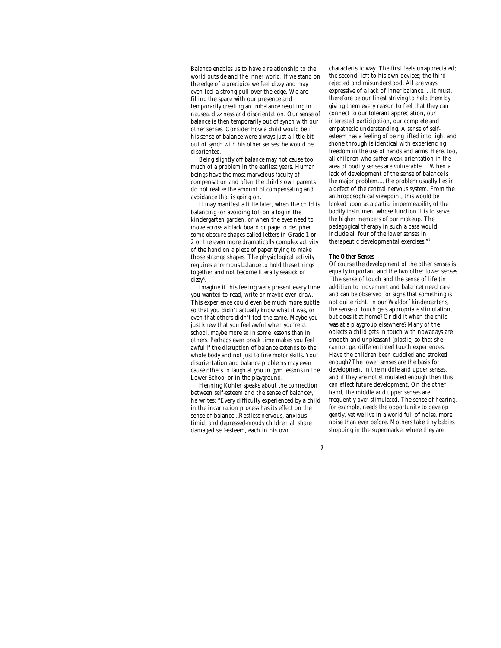Balance enables us to have a relationship to the world outside and the inner world. If we stand on the edge of a precipice we feel dizzy and may even feel a strong pull over the edge. We are filling the space with our presence and temporarily creating an imbalance resulting in nausea, dizziness and disorientation. Our sense of balance is then temporarily out of synch with our other senses. Consider how a child would be if his sense of balance were always just a little bit out of synch with his other senses: he would be disoriented.

Being slightly off balance may not cause too much of a problem in the earliest years. Human beings have the most marvelous faculty of compensation and often the child's own parents do not realize the amount of compensating and avoidance that is going on.

It may manifest a little later, when the child is balancing (or avoiding to!) on a log in the kindergarten garden, or when the eyes need to move across a black board or page to decipher some obscure shapes called letters in Grade 1 or 2 or the even more dramatically complex activity of the hand on a piece of paper trying to make those strange shapes. The physiological activity requires enormous balance to hold these things together and not become literally seasick or dizzy<sup>5</sup>.

Imagine if this feeling were present every time you wanted to read, write or maybe even draw. This experience could even be much more subtle so that you didn't actually know what it was, or even that others didn't feel the same. Maybe you just knew that you feel awful when you're at school, maybe more so in some lessons than in others. Perhaps even break time makes you feel awful if the disruption of balance extends to the whole body and not just to fine motor skills. Your disorientation and balance problems may even cause others to laugh at you in gym lessons in the Lower School or in the playground.

Henning Kohler speaks about the connection between self-esteem and the sense of balance $^6$ , he writes: "Every difficulty experienced by a child in the incarnation process has its effect on the sense of balance…Restless-nervous, anxioustimid, and depressed-moody children all share damaged self-esteem, each in his own

characteristic way. The first feels unappreciated; the second, left to his own devices; the third rejected and misunderstood. All are ways expressive of a lack of inner balance. . . It must, therefore be our finest striving to help them by giving them every reason to feel that they can connect to our tolerant appreciation, our interested participation, our complete and empathetic understanding. A sense of selfesteem has a feeling of being lifted into light and shone through is identical with experiencing freedom in the use of hands and arms. Here, too, all children who suffer weak orientation in the area of bodily senses are vulnerable. . .When a lack of development of the sense of balance is the major problem…, the problem usually lies in a defect of the central nervous system. From the anthroposophical viewpoint, this would be looked upon as a partial impermeability of the bodily instrument whose function it is to serve the higher members of our makeup. The pedagogical therapy in such a case would include all four of the lower senses in therapeutic developmental exercises."<sup>7</sup>

#### *The Other Senses*

*7*

Of course the development of the other senses is equally important and the two other lower senses ¯the sense of touch and the sense of life (in addition to movement and balance) need care and can be observed for signs that something is not quite right. In our Waldorf kindergartens, the sense of touch gets appropriate stimulation, but does it at home? Or did it when the child was at a playgroup elsewhere? Many of the objects a child gets in touch with nowadays are smooth and unpleasant (plastic) so that she cannot get differentiated touch experiences. Have the children been cuddled and stroked enough? The lower senses are the basis for development in the middle and upper senses, and if they are not stimulated enough then this can effect future development. On the other hand, the middle and upper senses are frequently over stimulated. The sense of hearing, for example, needs the opportunity to develop gently, yet we live in a world full of noise, more noise than ever before. Mothers take tiny babies shopping in the supermarket where they are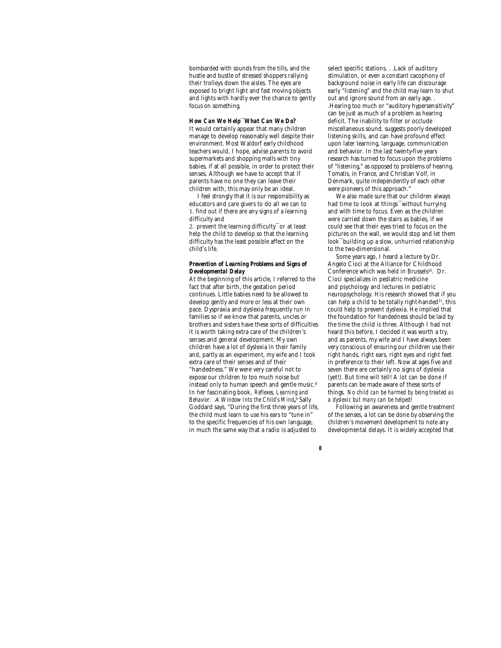bombarded with sounds from the tills, and the hustle and bustle of stressed shoppers rallying their trolleys down the aisles. The eyes are exposed to bright light and fast moving objects and lights with hardly ever the chance to gently focus on something.

*How Can We Help***¯***What Can We Do?* It would certainly appear that many children manage to develop reasonably well despite their environment. Most Waldorf early childhood teachers would, I hope, advise parents to avoid supermarkets and shopping malls with tiny babies, if at all possible, in order to protect their senses. Although we have to accept that if parents have no one they can leave their children with, this may only be an ideal.

I feel strongly that it is our responsibility as educators and care givers to do all we can to 1. find out if there are any signs of a learning difficulty and

2. prevent the learning difficulty<sup>-</sup>or at least help the child to develop so that the learning difficulty has the least possible affect on the child's life.

### *Prevention of Learning Problems and Signs of Developmental Delay*

At the beginning of this article, I referred to the fact that after birth, the gestation period continues. Little babies need to be allowed to develop gently and more or less at their own pace. Dyspraxia and dyslexia frequently run in families so if we know that parents, uncles or brothers and sisters have these sorts of difficulties it is worth taking extra care of the children's senses and general development. My own children have a lot of dyslexia in their family and, partly as an experiment, my wife and I took extra care of their senses and of their "handedness." We were very careful not to expose our children to too much noise but instead only to human speech and gentle music.<sup>8</sup> In her fascinating book, *Reflexes, Learning and Behavior: A Window Into the Child's Mind***,** 9 Sally Goddard says, "During the first three years of life, the child must learn to use his ears to "tune in" to the specific frequencies of his own language, in much the same way that a radio is adjusted to

select specific stations. . .Lack of auditory stimulation, or even a constant cacophony of background noise in early life can discourage early "listening" and the child may learn to shut out and ignore sound from an early age. . .Hearing too much or "auditory hypersensitivity" can be just as much of a problem as hearing deficit. The inability to filter or occlude miscellaneous sound, suggests poorly developed listening skills, and can have profound effect upon later learning, language, communication and behavior. In the last twenty-five years research has turned to focus upon the problems of "listening," as opposed to problems of hearing. Tomatis, in France, and Christian Volf, in Denmark, quite independently of each other were pioneers of this approach."

We also made sure that our children always had time to look at things<sup>-</sup>without hurrying and with time to focus. Even as the children were carried down the stairs as babies, if we could see that their eyes tried to focus on the pictures on the wall, we would stop and let them look¯building up a slow, unhurried relationship to the two-dimensional.

Some years ago, I heard a lecture by Dr. Angelo Cioci at the Alliance for Childhood Conference which was held in Brussels<sup>10</sup>. Dr. Cioci specializes in pediatric medicine and psychology and lectures in pediatric neuropsychology. His research showed that if you can help a child to be totally right-handed<sup>11</sup>, this could help to prevent dyslexia. He implied that the foundation for handedness should be laid by the time the child is three. Although I had not heard this before, I decided it was worth a try, and as parents, my wife and I have always been very conscious of ensuring our children use their right hands, right ears, right eyes and right feet in preference to their left. Now at ages five and seven there are certainly no signs of dyslexia (yet!). But time will tell! A lot can be done if parents can be made aware of these sorts of things. *No child can be harmed by being treated as a dyslexic but many can be helped!*

Following an awareness and gentle treatment of the senses, a lot can be done by observing the children's movement development to note any developmental delays. It is widely accepted that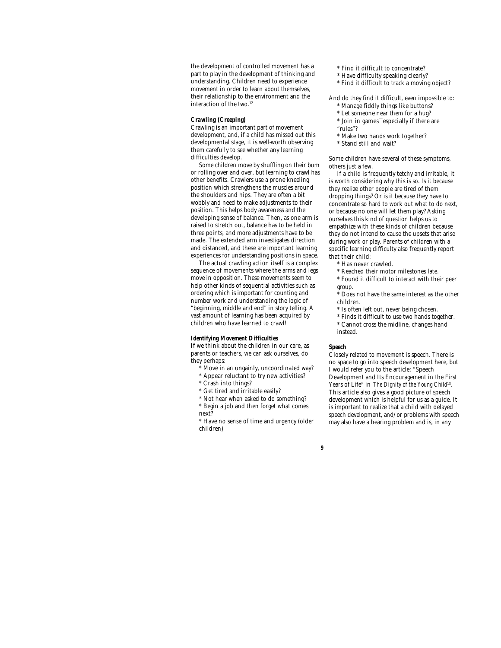the development of controlled movement has a part to play in the development of thinking and understanding. Children need to experience movement in order to learn about themselves, their relationship to the environment and the interaction of the two.<sup>12</sup>

### *Crawling (Creeping)*

Crawling is an important part of movement development, and, if a child has missed out this developmental stage, it is well-worth observing them carefully to see whether any learning difficulties develop.

Some children move by shuffling on their bum or rolling over and over, but learning to crawl has other benefits. Crawlers use a prone kneeling position which strengthens the muscles around the shoulders and hips. They are often a bit wobbly and need to make adjustments to their position. This helps body awareness and the developing sense of balance. Then, as one arm is raised to stretch out, balance has to be held in three points, and more adjustments have to be made. The extended arm investigates direction and distanced, and these are important learning experiences for understanding positions in space.

The actual crawling action itself is a complex sequence of movements where the arms and legs move in opposition. These movements seem to help other kinds of sequential activities such as ordering which is important for counting and number work and understanding the logic of "beginning, middle and end" in story telling. A vast amount of learning has been acquired by children who have learned to crawl!

### *Identifying Movement Difficulties*

If we think about the children in our care, as parents or teachers, we can ask ourselves, do they perhaps:

- Move in an ungainly, uncoordinated way?
- \* Appear reluctant to try new activities?
- \* Crash into things?
- \* Get tired and irritable easily?
- \* Not hear when asked to do something?

\* Begin a job and then forget what comes next?

\* Have no sense of time and urgency (older children)

- \* Find it difficult to concentrate?
- \* Have difficulty speaking clearly?
- \* Find it difficult to track a moving object?

And do they find it difficult, even impossible to: \* Manage fiddly things like buttons?

- \* Let someone near them for a hug?
- \* Join in games¯especially if there are
- "rules"?
- \* Make two hands work together?
- \* Stand still and wait?

Some children have several of these symptoms, others just a few.

If a child is frequently tetchy and irritable, it is worth considering why this is so. Is it because they realize other people are tired of them dropping things? Or is it because they have to concentrate so hard to work out what to do next, or because no one will let them play? Asking ourselves this kind of question helps us to empathize with these kinds of children because they do not intend to cause the upsets that arise during work or play. Parents of children with a specific learning difficulty also frequently report that their child:

- \* Has never crawled.
- \* Reached their motor milestones late.
- \* Found it difficult to interact with their peer

group. Does not have the same interest as the other children.

- \* Is often left out, never being chosen.
- \* Finds it difficult to use two hands together.

\* Cannot cross the midline, changes hand instead.

#### *Speech*

*9*

Closely related to movement is speech. There is no space to go into speech development here, but I would refer you to the article: "Speech Development and Its Encouragement in the First Years of Life" in *The Dignity of the Young Child*<sup>13</sup> . This article also gives a good picture of speech development which is helpful for us as a guide. It is important to realize that a child with delayed speech development, and/or problems with speech may also have a hearing problem and is, in any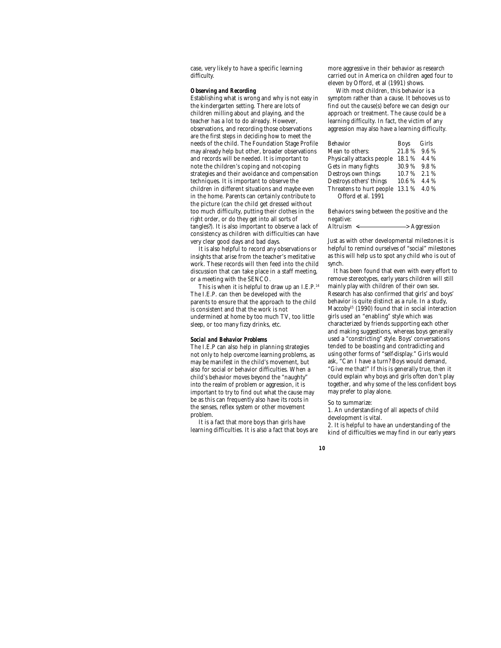case, very likely to have a specific learning difficulty.

### *Observing and Recording*

Establishing what is wrong and why is not easy in the kindergarten setting. There are lots of children milling about and playing, and the teacher has a lot to do already. However, observations, and recording those observations are the first steps in deciding how to meet the needs of the child. The Foundation Stage Profile may already help but other, broader observations and records will be needed. It is important to note the children's coping and not-coping strategies and their avoidance and compensation techniques. It is important to observe the children in different situations and maybe even in the home. Parents can certainly contribute to the picture (can the child get dressed without too much difficulty, putting their clothes in the right order, or do they get into all sorts of tangles?). It is also important to observe a lack of consistency as children with difficulties can have very clear good days and bad days.

It is also helpful to record any observations or insights that arise from the teacher's meditative work. These records will then feed into the child discussion that can take place in a staff meeting, or a meeting with the SENCO.

This is when it is helpful to draw up an I.E.P.<sup>14</sup> The I.E.P. can then be developed with the parents to ensure that the approach to the child is consistent and that the work is not undermined at home by too much TV, too little sleep, or too many fizzy drinks, etc.

#### *Social and Behavior Problems*

The I.E.P can also help in planning strategies not only to help overcome learning problems, as may be manifest in the child's movement, but also for social or behavior difficulties. When a child's behavior moves beyond the "naughty" into the realm of problem or aggression, it is important to try to find out what the cause may be as this can frequently also have its roots in the senses, reflex system or other movement problem.

It is a fact that more boys than girls have learning difficulties. It is also a fact that boys are

more aggressive in their behavior as research carried out in America on children aged four to eleven by Offord, et al (1991) shows.

With most children, this behavior is a symptom rather than a cause. It behooves us to find out the cause(s) before we can design our approach or treatment. The cause could be a learning difficulty. In fact, the victim of any aggression may also have a learning difficulty.

| Behavior                  | Boys         | Girls   |
|---------------------------|--------------|---------|
| Mean to others:           | 21.8%        | $9.6\%$ |
| Physically attacks people | 18.1 %       | 4.4 %   |
| Gets in many fights       | 30.9%        | 9.8%    |
| Destroys own things       | 10.7%        | 2.1%    |
| Destroys others' things   | 10.6%        | 4.4 %   |
| Threatens to hurt people  | 13.1 % 4.0 % |         |
| Offord et al. 1991        |              |         |

Behaviors swing between the positive and the negative: Altruism < > Aggression

Just as with other developmental milestones it is helpful to remind ourselves of "social" milestones as this will help us to spot any child who is out of synch.

It has been found that even with every effort to remove stereotypes, early years children will still mainly play with children of their own sex. Research has also confirmed that girls' and boys' behavior is quite distinct as a rule. In a study, Maccoby<sup>15</sup> (1990) found that in social interaction girls used an "enabling" style which was characterized by friends supporting each other and making suggestions, whereas boys generally used a "constricting" style. Boys' conversations tended to be boasting and contradicting and using other forms of "self-display." Girls would ask, "Can I have a turn? Boys would demand, "Give me that!" If this is generally true, then it could explain why boys and girls often don't play together, and why some of the less confident boys may prefer to play alone.

#### So to summarize:

1. An understanding of all aspects of child development is vital.

2. It is helpful to have an understanding of the kind of difficulties we may find in our early years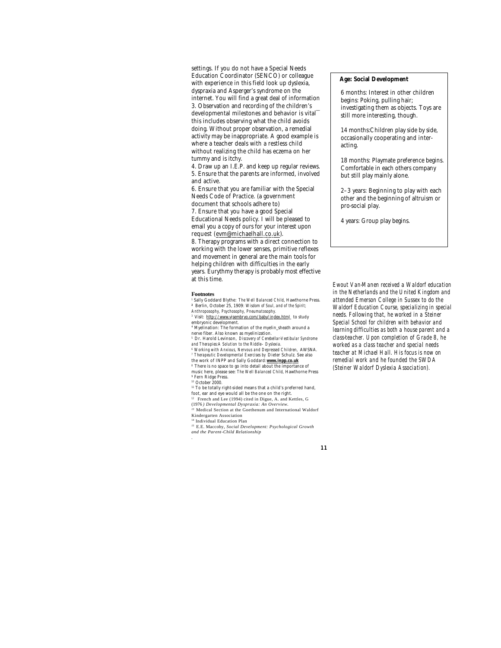settings. If you do not have a Special Needs Education Coordinator (SENCO) or colleague with experience in this field look up dyslexia, dyspraxia and Asperger's syndrome on the internet. You will find a great deal of information 3. Observation and recording of the children's developmental milestones and behavior is vital<sup>-</sup> this includes observing what the child avoids doing. Without proper observation, a remedial activity may be inappropriate. A good example is where a teacher deals with a restless child without realizing the child has eczema on her tummy and is itchy.

4. Draw up an I.E.P. and keep up regular reviews. 5. Ensure that the parents are informed, involved and active.

6. Ensure that you are familiar with the Special Needs Code of Practice. (a government

document that schools adhere to) 7. Ensure that you have a good Special Educational Needs policy. I will be pleased to email you a copy of ours for your interest upon request (evm@michaelhall.co.uk).

8. Therapy programs with a direct connection to working with the lower senses, primitive reflexes and movement in general are the main tools for helping children with difficulties in the early years. Eurythmy therapy is probably most effective at this time.

#### **Footnotes**

*<sup>1</sup>*Sally Goddard Blythe: *The Well Balanced Child*, Hawthorne Press. *<sup>2</sup>* Berlin, October 25, 1909: *Wisdom of Soul, and of the Spirit; Anthroposophy, Psychosophy, Pneumatosophy.*

<sup>3</sup> Visit: http://www.visembryo.com/baby/index.html to study embryonic development.

4 Myelination: The formation of the myelin sheath around a nerve fiber. Also known as myelinization.

*<sup>5</sup>* Dr. Harold Levinson, *Discovery of Cerebellar-Vestibular Syndrome and Therapies:A Solution to the Riddle– Dyslexia.*

*6 Working with Anxious, Nervous and Depressed Children,* AWSNA. *7 Therapeutic Developmental Exercises by* Dieter Schulz. See also the work of INPP and Sally Goddard:**www.inpp.co.uk** *<sup>8</sup>* There is no space to go into detail about the importance of

music here, please see: *The Well Balanced Child*, Hawthorne Press 9 Fern Ridge Press. *<sup>10</sup>* October 2000.

 $^{11}$  To be totally right-sided means that a child's preferred hand,<br>foot, ear and eye would all be the one on the right.

<sup>12</sup> French and Lee (1994) cited in Digue, A. and Kettles, G (1976 *) Developmental Dyspraxia: An Overview.*

*<sup>13</sup>* Medical Section at the Goethenum and International Waldorf Kindergarten Association

<sup>14</sup> Individual Education Plan

*<sup>15</sup>* E.E. Maccoby, *Social Development: Psychological Growth and the Parent-Child Relationship .*

## **Age: Social Development**

6 months: Interest in other children begins: Poking, pulling hair; investigating them as objects. Toys are still more interesting, though.

14 months:Children play side by side, occasionally cooperating and interacting.

18 months: Playmate preference begins. Comfortable in each others company but still play mainly alone.

2–3 years: Beginning to play with each other and the beginning of altruism or pro-social play.

4 years: Group play begins.

*Ewout Van-Manen received a Waldorf education in the Netherlands and the United Kingdom and attended Emerson College in Sussex to do the Waldorf Education Course, specializing in special needs. Following that, he worked in a Steiner Special School for children with behavior and learning difficulties as both a house parent and a class-teacher. Upon completion of Grade 8, he worked as a class teacher and special needs teacher at Michael Hall. His focus is now on remedial work and he founded the SWDA (Steiner Waldorf Dyslexia Association).*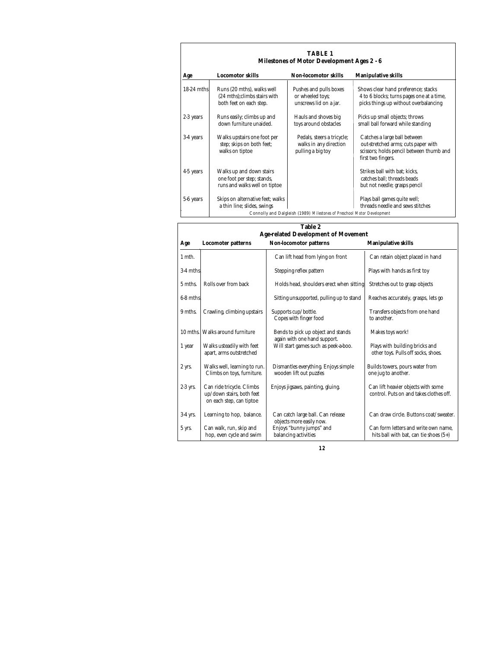| <b>TABLE 1</b><br><b>Milestones of Motor Development Ages 2 - 6</b> |                                                                                         |                                                                           |                                                                                                                                       |  |  |
|---------------------------------------------------------------------|-----------------------------------------------------------------------------------------|---------------------------------------------------------------------------|---------------------------------------------------------------------------------------------------------------------------------------|--|--|
| Age                                                                 | <b>Locomotor skills</b>                                                                 | <b>Non-locomotor skills</b>                                               | <b>Manipulative skills</b>                                                                                                            |  |  |
| $18-24$ mths                                                        | Runs (20 mths), walks well<br>(24 mths); climbs stairs with<br>both feet on each step.  | Pushes and pulls boxes<br>or wheeled toys;<br>unscrews lid on a jar.      | Shows clear hand preference; stacks<br>4 to 6 blocks; turns pages one at a time,<br>picks things up without overbalancing             |  |  |
| 2-3 years                                                           | Runs easily; climbs up and<br>down furniture unaided.                                   | Hauls and shoves big<br>toys around obstacles                             | Picks up small objects; throws<br>small ball forward while standing                                                                   |  |  |
| 3-4 years                                                           | Walks upstairs one foot per<br>step; skips on both feet;<br>walks on tiptoe             | Pedals, steers a tricycle;<br>walks in any direction<br>pulling a big toy | Catches a large ball between<br>out-stretched arms; cuts paper with<br>scissors; holds pencil between thumb and<br>first two fingers. |  |  |
| 4-5 years                                                           | Walks up and down stairs<br>one foot per step; stands,<br>runs and walks well on tiptoe |                                                                           | Strikes ball with bat; kicks,<br>catches ball; threads beads<br>but not needle; grasps pencil                                         |  |  |
| 5-6 years                                                           | Skips on alternative feet; walks<br>a thin line; slides, swings                         | Connolly and Dalgleish (1989) Milestones of Preschool Motor Development   | Plays ball games quite well;<br>threads needle and sews stitches                                                                      |  |  |

| Table 2<br><b>Age-related Development of Movement</b> |                                                                                    |                                                                      |                                                                                |  |  |
|-------------------------------------------------------|------------------------------------------------------------------------------------|----------------------------------------------------------------------|--------------------------------------------------------------------------------|--|--|
| Age                                                   | <b>Locomoter patterns</b>                                                          | <b>Non-locomotor patterns</b>                                        | <b>Manipulative skills</b>                                                     |  |  |
| 1 mth.                                                |                                                                                    | Can lift head from lying on front                                    | Can retain object placed in hand                                               |  |  |
| 3-4 mths                                              |                                                                                    | Stepping reflex pattern                                              | Plays with hands as first toy                                                  |  |  |
| 5 mths.                                               | Rolls over from back                                                               | Holds head, shoulders erect when sitting                             | Stretches out to grasp objects                                                 |  |  |
| 6-8 mths                                              |                                                                                    | Sitting unsupported, pulling up to stand                             | Reaches accurately, grasps, lets go                                            |  |  |
| 9 mths.                                               | Crawling, climbing upstairs                                                        | Supports cup/bottle.<br>Copes with finger food                       | Transfers objects from one hand<br>to another.                                 |  |  |
| 10 mths.                                              | Walks around furniture                                                             | Bends to pick up object and stands                                   | Makes toys work!                                                               |  |  |
| 1 year                                                | Walks usteadily with feet<br>apart, arms outstretched                              | again with one hand support.<br>Will start games such as peek-a-boo. | Plays with building bricks and<br>other toys. Pulls off socks, shoes.          |  |  |
| 2 yrs.                                                | Walks well, learning to run.<br>Climbs on toys, furniture.                         | Dismantles everything. Enjoys simple<br>wooden lift out puzzles      | Builds towers, pours water from<br>one jug to another.                         |  |  |
| 2-3 yrs.                                              | Can ride tricycle. Climbs<br>up/down stairs, both feet<br>on each step, can tiptoe | Enjoys jigsaws, painting, gluing.                                    | Can lift heavier objects with some<br>control. Puts on and takes clothes off.  |  |  |
| 3-4 yrs.                                              | Learning to hop, balance.                                                          | Can catch large ball. Can release<br>objects more easily now.        | Can draw circle. Buttons coat/sweater.                                         |  |  |
| 5 yrs.                                                | Can walk, run, skip and<br>hop, even cycle and swim                                | Enjoys "bunny jumps" and<br>balancing activities                     | Can form letters and write own name.<br>hits ball with bat, can tie shoes (5+) |  |  |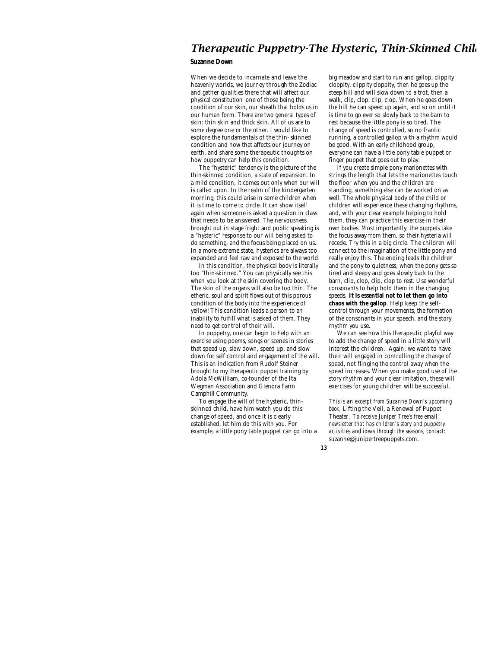# *Therapeutic Puppetry-The Hysteric, Thin-Skinned Child*

## **Suzanne Down**

When we decide to incarnate and leave the heavenly worlds, we journey through the Zodiac and gather qualities there that will affect our physical constitution one of those being the condition of our skin, our sheath that holds us in our human form. There are two general types of skin: thin skin and thick skin. All of us are to some degree one or the other. I would like to explore the fundamentals of the thin- skinned condition and how that affects our journey on earth, and share some therapeutic thoughts on how puppetry can help this condition.

The "hysteric" tendency is the picture of the thin-skinned condition, a state of expansion. In a mild condition, it comes out only when our will is called upon. In the realm of the kindergarten morning, this could arise in some children when it is time to come to circle. It can show itself again when someone is asked a question in class that needs to be answered. The nervousness brought out in stage fright and public speaking is a "hysteric" response to our will being asked to do something, and the focus being placed on us. In a more extreme state, hysterics are always too expanded and feel raw and exposed to the world.

In this condition, the physical body is literally too "thin-skinned." You can physically see this when you look at the skin covering the body. The skin of the organs will also be too thin. The etheric, soul and spirit flows out of this porous condition of the body into the experience of yellow! This condition leads a person to an inability to fulfill what is asked of them. They need to get control of their will.

In puppetry, one can begin to help with an exercise using poems, songs or scenes in stories that speed up, slow down, speed up, and slow down for self control and engagement of the will. This is an indication from Rudolf Steiner brought to my therapeutic puppet training by Adola McWilliam, co-founder of the Ita Wegman Association and Glenora Farm Camphill Community.

To engage the will of the hysteric, thinskinned child, have him watch you do this change of speed, and once it is clearly established, let him do this with you. For example, a little pony table puppet can go into a

big meadow and start to run and gallop, clippity cloppity, clippity cloppity, then he goes up the steep hill and will slow down to a trot, then a walk, clip, clop, clip, clop. When he goes down the hill he can speed up again, and so on until it is time to go ever so slowly back to the barn to rest because the little pony is so tired. The change of speed is controlled, so no frantic running, a controlled gallop with a rhythm would be good. With an early childhood group, everyone can have a little pony table puppet or finger puppet that goes out to play.

If you create simple pony marionettes with strings the length that lets the marionettes touch the floor when you and the children are standing, something else can be worked on as well. The whole physical body of the child or children will experience these changing rhythms, and, with your clear example helping to hold them, they can practice this exercise in their own bodies. Most importantly, the puppets take the focus away from them, so their hysteria will recede. Try this in a big circle. The children will connect to the imagination of the little pony and really enjoy this. The ending leads the children and the pony to quietness, when the pony gets so tired and sleepy and goes slowly back to the barn, clip, clop, clip, clop to rest. Use wonderful consonants to help hold them in the changing speeds. **It is essential not to let them go into chaos with the gallop**. Help keep the selfcontrol through your movements, the formation of the consonants in your speech, and the story rhythm you use.

We can see how this therapeutic playful way to add the change of speed in a little story will interest the children. Again, we want to have their will engaged in controlling the change of speed, not flinging the control away when the speed increases. When you make good use of the story rhythm and your clear imitation, these will exercises for young children will be successful.

*This is an excerpt from Suzanne Down's upcoming book,* Lifting the Veil, a Renewal of Puppet Theater. *To receive Juniper Tree's free email newsletter that has children's story and puppetry activities and ideas through the seasons, contact:* suzanne@junipertreepuppets.com*.*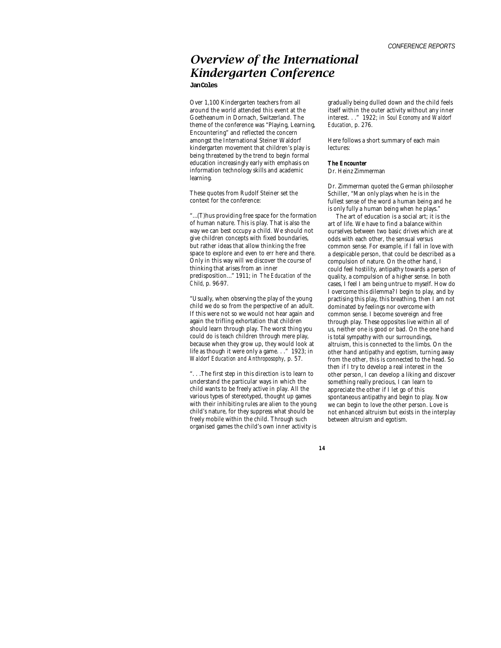# *Overview of the International Kindergarten Conference*

**Jan Coles**

Over 1,100 Kindergarten teachers from all around the world attended this event at the Goetheanum in Dornach, Switzerland. The theme of the conference was "Playing, Learning, Encountering" and reflected the concern amongst the International Steiner Waldorf kindergarten movement that children's play is being threatened by the trend to begin formal education increasingly early with emphasis on information technology skills and academic learning.

These quotes from Rudolf Steiner set the context for the conference:

"…(T)hus providing free space for the formation of human nature. This is play. That is also the way we can best occupy a child. We should not give children concepts with fixed boundaries, but rather ideas that allow thinking the free space to explore and even to err here and there. Only in this way will we discover the course of thinking that arises from an inner predisposition…" 1911; in *The Education of the Child*, p. 96-97.

"Usually, when observing the play of the young child we do so from the perspective of an adult. If this were not so we would not hear again and again the trifling exhortation that children should learn through play. The worst thing you could do is teach children through mere play, because when they grow up, they would look at life as though it were only a game. . ." 1923; in *Waldorf Education and Anthroposophy*, p. 57.

". . .The first step in this direction is to learn to understand the particular ways in which the child wants to be freely active in play. All the various types of stereotyped, thought up games with their inhibiting rules are alien to the young child's nature, for they suppress what should be freely mobile within the child. Through such organised games the child's own inner activity is

gradually being dulled down and the child feels itself within the outer activity without any inner interest. . ." 1922; in *Soul Economy and Waldorf Education*, p. 276.

Here follows a short summary of each main lectures:

*The Encounter*

Dr. Heinz Zimmerman

Dr. Zimmerman quoted the German philosopher Schiller, "Man only plays when he is in the fullest sense of the word a human being and he is only fully a human being when he plays."

The art of education is a social art; it is the art of life. We have to find a balance within ourselves between two basic drives which are at odds with each other, the sensual versus common sense. For example, if I fall in love with a despicable person, that could be described as a compulsion of nature. On the other hand, I could feel hostility, antipathy towards a person of quality, a compulsion of a higher sense. In both cases, I feel I am being untrue to myself. How do I overcome this dilemma? I begin to play, and by practising this play, this breathing, then I am not dominated by feelings nor overcome with common sense. I become sovereign and free through play. These opposites live within all of us, neither one is good or bad. On the one hand is total sympathy with our surroundings, altruism, this is connected to the limbs. On the other hand antipathy and egotism, turning away from the other, this is connected to the head. So then if I try to develop a real interest in the other person, I can develop a liking and discover something really precious, I can learn to appreciate the other if I let go of this spontaneous antipathy and begin to play. Now we can begin to love the other person. Love is not enhanced altruism but exists in the interplay between altruism and egotism.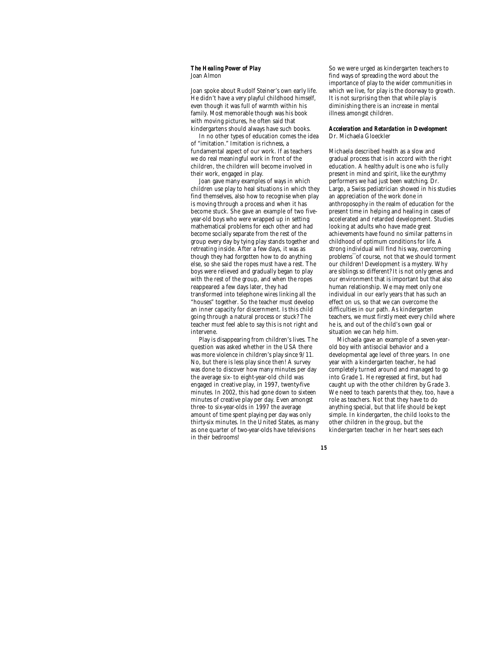### *The Healing Power of Play* Joan Almon

Joan spoke about Rudolf Steiner's own early life. He didn't have a very playful childhood himself, even though it was full of warmth within his family. Most memorable though was his book with moving pictures, he often said that kindergartens should always have such books.

In no other types of education comes the idea of "imitation." Imitation is richness, a fundamental aspect of our work. If as teachers we do real meaningful work in front of the children, the children will become involved in their work, engaged in play.

Joan gave many examples of ways in which children use play to heal situations in which they find themselves, also how to recognise when play is moving through a process and when it has become stuck. She gave an example of two fiveyear-old boys who were wrapped up in setting mathematical problems for each other and had become socially separate from the rest of the group every day by tying play stands together and retreating inside. After a few days, it was as though they had forgotten how to do anything else, so she said the ropes must have a rest. The boys were relieved and gradually began to play with the rest of the group, and when the ropes reappeared a few days later, they had transformed into telephone wires linking all the "houses" together. So the teacher must develop an inner capacity for discernment. Is this child going through a natural process or stuck? The teacher must feel able to say this is not right and intervene.

Play is disappearing from children's lives. The question was asked whether in the USA there was more violence in children's play since 9/11. No, but there is less play since then! A survey was done to discover how many minutes per day the average six- to eight-year-old child was engaged in creative play, in 1997, twenty-five minutes. In 2002, this had gone down to sixteen minutes of creative play per day. Even amongst three- to six-year-olds in 1997 the average amount of time spent playing per day was only thirty-six minutes. In the United States, as many as one quarter of two-year-olds have televisions in their bedrooms!

So we were urged as kindergarten teachers to find ways of spreading the word about the importance of play to the wider communities in which we live, for play is the doorway to growth. It is not surprising then that while play is diminishing there is an increase in mental illness amongst children.

## *Acceleration and Retardation in Development* Dr. Michaela Gloeckler

Michaela described health as a slow and gradual process that is in accord with the right education. A healthy adult is one who is fully present in mind and spirit, like the eurythmy performers we had just been watching. Dr. Largo, a Swiss pediatrician showed in his studies an appreciation of the work done in anthroposophy in the realm of education for the present time in helping and healing in cases of accelerated and retarded development. Studies looking at adults who have made great achievements have found no similar patterns in childhood of optimum conditions for life. A strong individual will find his way, overcoming problems¯of course, not that we should torment our children! Development is a mystery. Why are siblings so different? It is not only genes and our environment that is important but that also human relationship. We may meet only one individual in our early years that has such an effect on us, so that we can overcome the difficulties in our path. As kindergarten teachers, we must firstly meet every child where he is, and out of the child's own goal or situation we can help him.

Michaela gave an example of a seven-yearold boy with antisocial behavior and a developmental age level of three years. In one year with a kindergarten teacher, he had completely turned around and managed to go into Grade 1. He regressed at first, but had caught up with the other children by Grade 3. We need to teach parents that they, too, have a role as teachers. Not that they have to do anything special, but that life should be kept simple. In kindergarten, the child looks to the other children in the group, but the kindergarten teacher in her heart sees each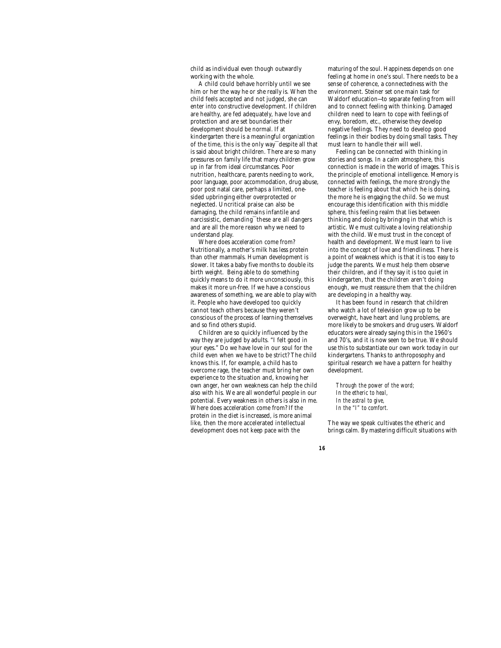child as individual even though outwardly working with the whole.

A child could behave horribly until we see him or her the way he or she really is. When the child feels accepted and not judged, she can enter into constructive development. If children are healthy, are fed adequately, have love and protection and are set boundaries their development should be normal. If at kindergarten there is a meaningful organization of the time, this is the only way¯despite all that is said about bright children. There are so many pressures on family life that many children grow up in far from ideal circumstances. Poor nutrition, healthcare, parents needing to work, poor language, poor accommodation, drug abuse, poor post natal care, perhaps a limited, onesided upbringing either overprotected or neglected. Uncritical praise can also be damaging, the child remains infantile and narcissistic, demanding¯these are all dangers and are all the more reason why we need to understand play.

Where does acceleration come from? Nutritionally, a mother's milk has less protein than other mammals. Human development is slower. It takes a baby five months to double its birth weight. Being able to do something quickly means to do it more unconsciously, this makes it more un-free. If we have a conscious awareness of something, we are able to play with it. People who have developed too quickly cannot teach others because they weren't conscious of the process of learning themselves and so find others stupid.

Children are so quickly influenced by the way they are judged by adults. "I felt good in your eyes." Do we have love in our soul for the child even when we have to be strict? The child knows this. If, for example, a child has to overcome rage, the teacher must bring her own experience to the situation and, knowing her own anger, her own weakness can help the child also with his. We are all wonderful people in our potential. Every weakness in others is also in me. Where does acceleration come from? If the protein in the diet is increased, is more animal like, then the more accelerated intellectual development does not keep pace with the

maturing of the soul. Happiness depends on one feeling at home in one's soul. There needs to be a sense of coherence, a connectedness with the environment. Steiner set one main task for Waldorf education—to separate feeling from will and to connect feeling with thinking. Damaged children need to learn to cope with feelings of envy, boredom, etc., otherwise they develop negative feelings. They need to develop good feelings in their bodies by doing small tasks. They must learn to handle their will well.

Feeling can be connected with thinking in stories and songs. In a calm atmosphere, this connection is made in the world of images. This is the principle of emotional intelligence. Memory is connected with feelings, the more strongly the teacher is feeling about that which he is doing, the more he is engaging the child. So we must encourage this identification with this middle sphere, this feeling realm that lies between thinking and doing by bringing in that which is artistic. We must cultivate a loving relationship with the child. We must trust in the concept of health and development. We must learn to live into the concept of love and friendliness. There is a point of weakness which is that it is too easy to judge the parents. We must help them observe their children, and if they say it is too quiet in kindergarten, that the children aren't doing enough, we must reassure them that the children are developing in a healthy way.

It has been found in research that children who watch a lot of television grow up to be overweight, have heart and lung problems, are more likely to be smokers and drug users. Waldorf educators were already saying this in the 1960's and 70's, and it is now seen to be true. We should use this to substantiate our own work today in our kindergartens. Thanks to anthroposophy and spiritual research we have a pattern for healthy development.

*Through the power of the word; In the etheric to heal, In the astral to give, In the "I" to comfort.*

The way we speak cultivates the etheric and brings calm. By mastering difficult situations with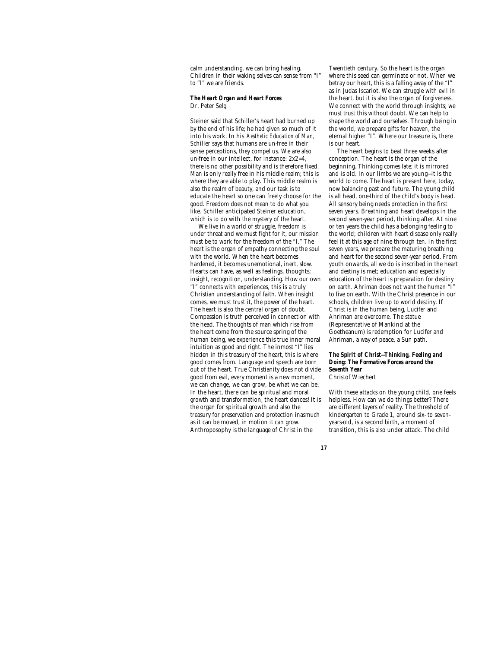calm understanding, we can bring healing. Children in their waking selves can sense from "I" to "I" we are friends.

## *The Heart Organ and Heart Forces* Dr. Peter Selg

Steiner said that Schiller's heart had burned up by the end of his life; he had given so much of it into his work. In his *Aesthetic Education of Man*, Schiller says that humans are un-free in their sense perceptions, they compel us. We are also un-free in our intellect, for instance: 2x2=4, there is no other possibility and is therefore fixed. Man is only really free in his middle realm; this is where they are able to play. This middle realm is also the realm of beauty, and our task is to educate the heart so one can freely choose for the good. Freedom does not mean to do what you like. Schiller anticipated Steiner education, which is to do with the mystery of the heart.

We live in a world of struggle, freedom is under threat and we must fight for it, our mission must be to work for the freedom of the "I." The heart is the organ of empathy connecting the soul with the world. When the heart becomes hardened, it becomes unemotional, inert, slow. Hearts can have, as well as feelings, thoughts; insight, recognition, understanding. How our own "I" connects with experiences, this is a truly Christian understanding of faith. When insight comes, we must trust it, the power of the heart. The heart is also the central organ of doubt. Compassion is truth perceived in connection with the head. The thoughts of man which rise from the heart come from the source spring of the human being, we experience this true inner moral intuition as good and right. The inmost "I" lies hidden in this treasury of the heart, this is where good comes from. Language and speech are born out of the heart. True Christianity does not divide good from evil, every moment is a new moment, we can change, we can grow, be what we can be. In the heart, there can be spiritual and moral growth and transformation, the heart dances! It is the organ for spiritual growth and also the treasury for preservation and protection inasmuch as it can be moved, in motion it can grow. Anthroposophy is the language of Christ in the

Twentieth century. So the heart is the organ where this seed can germinate or not. When we betray our heart, this is a falling away of the "I" as in Judas Iscariot. We can struggle with evil in the heart, but it is also the organ of forgiveness. We connect with the world through insights; we must trust this without doubt. We can help to shape the world and ourselves. Through being in the world, we prepare gifts for heaven, the eternal higher "I". Where our treasure is, there is our heart.

The heart begins to beat three weeks after conception. The heart is the organ of the beginning. Thinking comes late; it is mirrored and is old. In our limbs we are young—it is the world to come. The heart is present here, today, now balancing past and future. The young child is all head, one-third of the child's body is head. All sensory being needs protection in the first seven years. Breathing and heart develops in the second seven-year period, thinking after. At nine or ten years the child has a belonging feeling to the world; children with heart disease only really feel it at this age of nine through ten. In the first seven years, we prepare the maturing breathing and heart for the second seven-year period. From youth onwards, all we do is inscribed in the heart and destiny is met; education and especially education of the heart is preparation for destiny on earth. Ahriman does not want the human "I" to live on earth. With the Christ presence in our schools, children live up to world destiny. If Christ is in the human being, Lucifer and Ahriman are overcome. The statue (Representative of Mankind at the Goetheanum) is redemption for Lucifer and Ahriman, a way of peace, a Sun path.

*The Spirit of Christ—Thinking, Feeling and Doing: The Formative Forces around the Seventh Year* Christof Wiechert

With these attacks on the young child, one feels helpless. How can we do things better? There are different layers of reality. The threshold of kindergarten to Grade 1, around six- to sevenyears-old, is a second birth, a moment of transition, this is also under attack. The child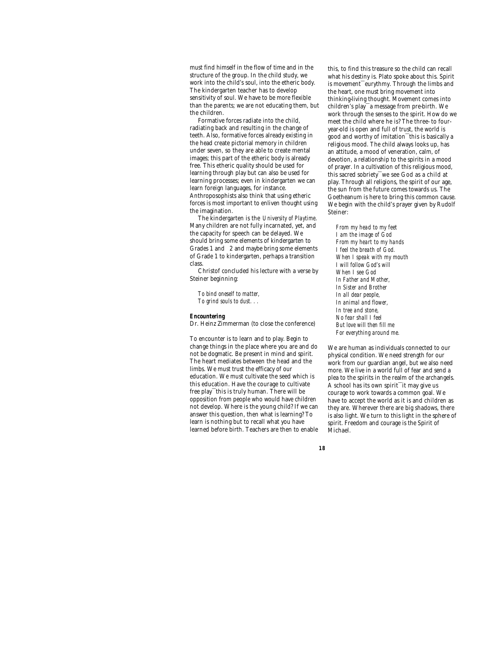must find himself in the flow of time and in the structure of the group. In the child study, we work into the child's soul, into the etheric body. The kindergarten teacher has to develop sensitivity of soul. We have to be more flexible than the parents; we are not educating them, but the children.

Formative forces radiate into the child, radiating back and resulting in the change of teeth. Also, formative forces already existing in the head create pictorial memory in children under seven, so they are able to create mental images; this part of the etheric body is already free. This etheric quality should be used for learning through play but can also be used for learning processes; even in kindergarten we can learn foreign languages, for instance. Anthroposophists also think that using etheric forces is most important to enliven thought using the imagination.

The kindergarten is the *University of Playtime*. Many children are not fully incarnated, yet, and the capacity for speech can be delayed. We should bring some elements of kindergarten to Grades 1 and 2 and maybe bring some elements of Grade 1 to kindergarten, perhaps a transition class.

Christof concluded his lecture with a verse by Steiner beginning:

*To bind oneself to matter, To grind souls to dust. . .*

### *Encountering*

Dr. Heinz Zimmerman (to close the conference)

To encounter is to learn and to play. Begin to change things in the place where you are and do not be dogmatic. Be present in mind and spirit. The heart mediates between the head and the limbs. We must trust the efficacy of our education. We must cultivate the seed which is this education. Have the courage to cultivate free play<sup>-</sup>this is truly human. There will be opposition from people who would have children not develop. Where is the young child? If we can answer this question, then what is learning? To learn is nothing but to recall what you have learned before birth. Teachers are then to enable

this, to find this treasure so the child can recall what his destiny is. Plato spoke about this. Spirit is movement¯eurythmy. Through the limbs and the heart, one must bring movement into thinking-living thought. Movement comes into children's play¯a message from pre-birth. We work through the senses to the spirit. How do we meet the child where he is? The three- to fouryear-old is open and full of trust, the world is good and worthy of imitation¯this is basically a religious mood. The child always looks up, has an attitude, a mood of veneration, calm, of devotion, a relationship to the spirits in a mood of prayer. In a cultivation of this religious mood, this sacred sobriety¯we see God as a child at play. Through all religions, the spirit of our age, the sun from the future comes towards us. The Goetheanum is here to bring this common cause. We begin with the child's prayer given by Rudolf Steiner:

*From my head to my feet I am the image of God From my heart to my hands I feel the breath of God. When I speak with my mouth I will follow God's will When I see God In Father and Mother, In Sister and Brother In all dear people, In animal and flower, In tree and stone, No fear shall I feel But love will then fill me For everything around me.*

We are human as individuals connected to our physical condition. We need strength for our work from our guardian angel, but we also need more. We live in a world full of fear and send a plea to the spirits in the realm of the archangels. A school has its own spirit¯it may give us courage to work towards a common goal. We have to accept the world as it is and children as they are. Wherever there are big shadows, there is also light. We turn to this light in the sphere of spirit. Freedom and courage is the Spirit of Michael.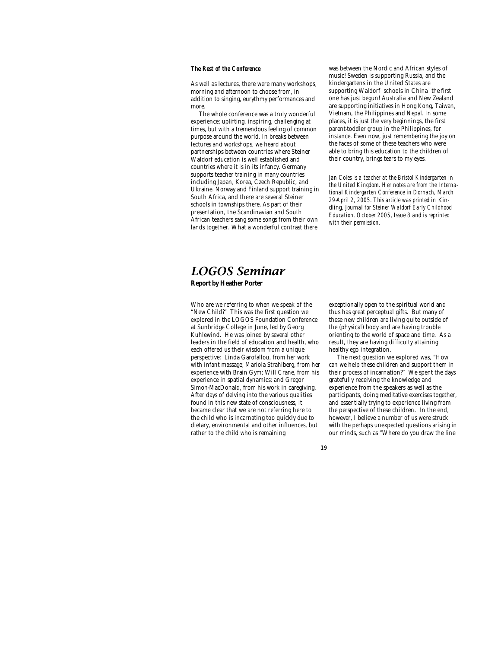## *The Rest of the Conference*

As well as lectures, there were many workshops, morning and afternoon to choose from, in addition to singing, eurythmy performances and more.

The whole conference was a truly wonderful experience; uplifting, inspiring, challenging at times, but with a tremendous feeling of common purpose around the world. In breaks between lectures and workshops, we heard about partnerships between countries where Steiner Waldorf education is well established and countries where it is in its infancy. Germany supports teacher training in many countries including Japan, Korea, Czech Republic, and Ukraine. Norway and Finland support training in South Africa, and there are several Steiner schools in townships there. As part of their presentation, the Scandinavian and South African teachers sang some songs from their own lands together. What a wonderful contrast there

was between the Nordic and African styles of music! Sweden is supporting Russia, and the kindergartens in the United States are supporting Waldorf schools in China<sup>-the first</sup> one has just begun! Australia and New Zealand are supporting initiatives in Hong Kong, Taiwan, Vietnam, the Philippines and Nepal. In some places, it is just the very beginnings, the first parent-toddler group in the Philippines, for instance. Even now, just remembering the joy on the faces of some of these teachers who were able to bring this education to the children of their country, brings tears to my eyes.

*Jan Coles is a teacher at the Bristol Kindergarten in the United Kingdom. Her notes are from the International Kindergarten Conference in Dornach, March 29-April 2, 2005. This article was printed in* Kindling*, Journal for Steiner Waldorf Early Childhood Education, October 2005, Issue 8 and is reprinted with their permission.*

## *LOGOS Seminar* **Report by Heather Porter**

Who are we referring to when we speak of the "New Child?" This was the first question we explored in the LOGOS Foundation Conference at Sunbridge College in June, led by Georg Kuhlewind. He was joined by several other leaders in the field of education and health, who each offered us their wisdom from a unique perspective: Linda Garofallou, from her work with infant massage; Mariola Strahlberg, from her experience with Brain Gym; Will Crane, from his experience in spatial dynamics; and Gregor Simon-MacDonald, from his work in caregiving. After days of delving into the various qualities found in this new state of consciousness, it became clear that we are not referring here to the child who is incarnating too quickly due to dietary, environmental and other influences, but rather to the child who is remaining

exceptionally open to the spiritual world and thus has great perceptual gifts. But many of these new children are living quite outside of the (physical) body and are having trouble orienting to the world of space and time. As a result, they are having difficulty attaining healthy ego integration.

The next question we explored was, "How can we help these children and support them in their process of incarnation?" We spent the days gratefully receiving the knowledge and experience from the speakers as well as the participants, doing meditative exercises together, and essentially trying to experience living from the perspective of these children. In the end, however, I believe a number of us were struck with the perhaps unexpected questions arising in our minds, such as "Where do you draw the line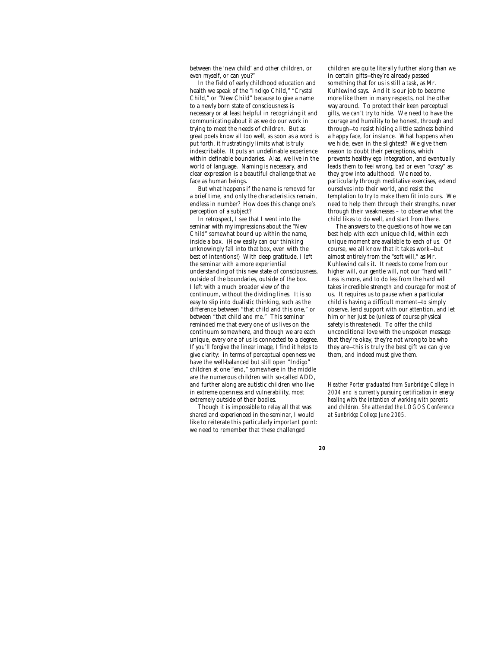between the 'new child' and other children, or even myself, or can you?"

In the field of early childhood education and health we speak of the "Indigo Child," "Crystal Child," or "New Child" because to give a name to a newly born state of consciousness is necessary or at least helpful in recognizing it and communicating about it as we do our work in trying to meet the needs of children. But as great poets know all too well, as soon as a word is put forth, it frustratingly limits what is truly indescribable. It puts an undefinable experience within definable boundaries. Alas, we live in the world of language. Naming is necessary, and clear expression is a beautiful challenge that we face as human beings.

But what happens if the name is removed for a brief time, and only the characteristics remain, endless in number? How does this change one's perception of a subject?

In retrospect, I see that I went into the seminar with my impressions about the "New Child" somewhat bound up within the name, inside a box. (How easily can our thinking unknowingly fall into that box, even with the best of intentions!) With deep gratitude, I left the seminar with a more experiential understanding of this new state of consciousness, outside of the boundaries, outside of the box. I left with a much broader view of the continuum, without the dividing lines. It is so easy to slip into dualistic thinking, such as the difference between "that child and this one," or between "that child and me." This seminar reminded me that every one of us lives on the continuum somewhere, and though we are each unique, every one of us is connected to a degree. If you'll forgive the linear image, I find it helps to give clarity: in terms of perceptual openness we have the well-balanced but still open "Indigo" children at one "end," somewhere in the middle are the numerous children with so-called ADD, and further along are autistic children who live in extreme openness and vulnerability, most extremely outside of their bodies.

Though it is impossible to relay all that was shared and experienced in the seminar, I would like to reiterate this particularly important point: we need to remember that these challenged

children are quite literally further along than we in certain gifts—they're already passed something that for us is still a task, as Mr. Kuhlewind says. And it is our job to become more like them in many respects, not the other way around. To protect their keen perceptual gifts, we can't try to hide. We need to have the courage and humility to be honest, through and through—to resist hiding a little sadness behind a happy face, for instance. What happens when we hide, even in the slightest? We give them reason to doubt their perceptions, which prevents healthy ego integration, and eventually leads them to feel wrong, bad or even "crazy" as they grow into adulthood. We need to, particularly through meditative exercises, extend ourselves into their world, and resist the temptation to try to make them fit into ours. We need to help them through their strengths, never through their weaknesses – to observe what the child likes to do well, and start from there.

The answers to the questions of how we can best help with each unique child, within each unique moment are available to each of us. Of course, we all know that it takes work—but almost entirely from the "soft will," as Mr. Kuhlewind calls it. It needs to come from our higher will, our gentle will, not our "hard will." Less is more, and to do *less* from the hard will takes incredible strength and courage for most of us. It requires us to pause when a particular child is having a difficult moment—to simply observe, lend support with our attention, and let him or her just be (unless of course physical safety is threatened). To offer the child unconditional love with the unspoken message that they're okay, they're not wrong to be who they are—this is truly the best gift we can give them, and indeed must give them.

*Heather Porter graduated from Sunbridge College in 2004 and is currently pursuing certification in energy healing with the intention of working with parents and children. She attended the LOGOS Conference at Sunbridge College June 2005.*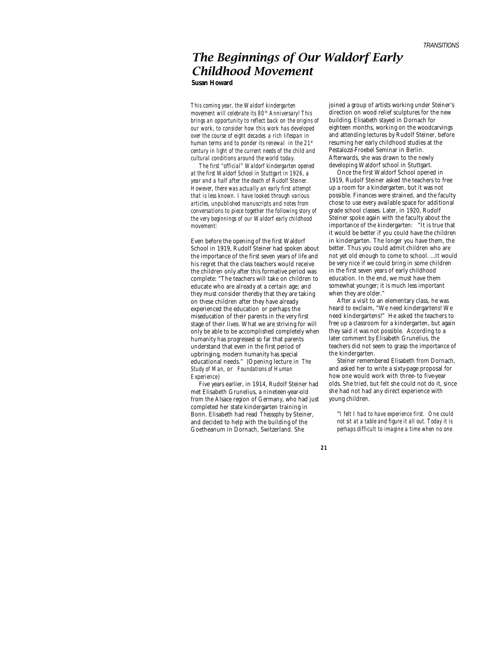## *The Beginnings of Our Waldorf Early Childhood Movement* **Susan Howard**

*This coming year, the Waldorf kindergarten movement will celebrate its 80th Anniversary! This brings an opportunity to reflect back on the origins of our work, to consider how this work has developed over the course of eight decades a rich lifespan in human terms and to ponder its renewal in the 21st century in light of the current needs of the child and cultural conditions around the world today.*

*The first "official" Waldorf kindergarten opened at the first Waldorf School in Stuttgart in 1926, a year and a half after the death of Rudolf Steiner. However, there was actually an early first attempt that is less known. I have looked through various articles, unpublished manuscripts and notes from conversations to piece together the following story of the very beginnings of our Waldorf early childhood movement:*

Even before the opening of the first Waldorf School in 1919, Rudolf Steiner had spoken about the importance of the first seven years of life and his regret that the class teachers would receive the children only after this formative period was complete: "The teachers will take on children to educate who are already at a certain age; and they must consider thereby that they are taking on these children after they have already experienced the education or perhaps the miseducation of their parents in the very first stage of their lives. What we are striving for will only be able to be accomplished completely when humanity has progressed so far that parents understand that even in the first period of upbringing, modern humanity has special educational needs." (Opening lecture in *The Study of Man,* or *Foundations of Human Experience*)

Five years earlier, in 1914, Rudolf Steiner had met Elisabeth Grunelius, a nineteen-year-old from the Alsace region of Germany, who had just completed her state kindergarten training in Bonn. Elisabeth had read *Theosophy* by Steiner, and decided to help with the building of the Goetheanum in Dornach, Switzerland. She

joined a group of artists working under Steiner's direction on wood relief sculptures for the new building. Elisabeth stayed in Dornach for eighteen months, working on the woodcarvings and attending lectures by Rudolf Steiner, before resuming her early childhood studies at the Pestalozzi-Froebel Seminar in Berlin. Afterwards, she was drawn to the newly developing Waldorf school in Stuttgart.

Once the first Waldorf School opened in 1919, Rudolf Steiner asked the teachers to free up a room for a kindergarten, but it was not possible. Finances were strained, and the faculty chose to use every available space for additional grade school classes. Later, in 1920, Rudolf Steiner spoke again with the faculty about the importance of the kindergarten: "It is true that it would be better if you could have the children in kindergarten. The longer you have them, the better. Thus you could admit children who are not yet old enough to come to school. …It would be very nice if we could bring in some children in the first seven years of early childhood education. In the end, we must have them somewhat younger; it is much less important when they are older."

After a visit to an elementary class, he was heard to exclaim, "We need kindergartens! We need kindergartens!" He asked the teachers to free up a classroom for a kindergarten, but again they said it was not possible. According to a later comment by Elisabeth Grunelius, the teachers did not seem to grasp the importance of the kindergarten.

Steiner remembered Elisabeth from Dornach, and asked her to write a sixty-page proposal for how one would work with three- to five-year olds. She tried, but felt she could not do it, since she had not had any direct experience with young children.

"*I felt I had to have experience first. One could not sit at a table and figure it all out. Today it is perhaps difficult to imagine a time when no one*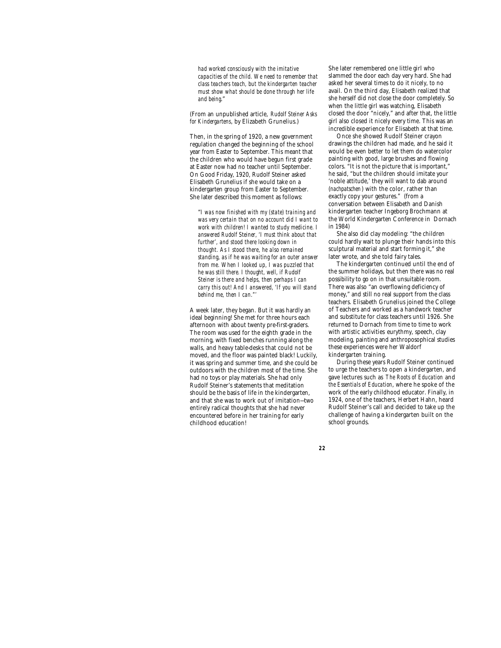*had worked consciously with the imitative capacities of the child. We need to remember that class teachers teach, but the kindergarten teacher must show what should be done through her life and being*."

(From an unpublished article, *Rudolf Steiner Asks for Kindergartens*, by Elizabeth Grunelius.)

Then, in the spring of 1920, a new government regulation changed the beginning of the school year from Easter to September. This meant that the children who would have begun first grade at Easter now had no teacher until September. On Good Friday, 1920, Rudolf Steiner asked Elisabeth Grunelius if she would take on a kindergarten group from Easter to September. She later described this moment as follows:

"*I was now finished with my (state) training and was very certain that on no account did I want to work with children! I wanted to study medicine. I answered Rudolf Steiner, 'I must think about that further', and stood there looking down in thought. As I stood there, he also remained standing, as if he was waiting for an outer answer from me. When I looked up, I was puzzled that he was still there. I thought, well, if Rudolf Steiner is there and helps, then perhaps I can carry this out! And I answered, 'If you will stand behind me, then I can."'*

A week later, they began. But it was hardly an ideal beginning! She met for three hours each afternoon with about twenty pre-first-graders. The room was used for the eighth grade in the morning, with fixed benches running along the walls, and heavy table-desks that could not be moved, and the floor was painted black! Luckily, it was spring and summer time, and she could be outdoors with the children most of the time. She had no toys or play materials. She had only Rudolf Steiner's statements that meditation should be the basis of life in the kindergarten, and that she was to work out of imitation—two entirely radical thoughts that she had never encountered before in her training for early childhood education!

She later remembered one little girl who slammed the door each day very hard. She had asked her several times to do it nicely, to no avail. On the third day, Elisabeth realized that she herself did not close the door completely. So when the little girl was watching, Elisabeth closed the door "nicely," and after that, the little girl also closed it nicely every time. This was an incredible experience for Elisabeth at that time.

Once she showed Rudolf Steiner crayon drawings the children had made, and he said it would be even better to let them do watercolor painting with good, large brushes and flowing colors. "It is not the picture that is important," he said, "but the children should imitate your 'noble attitude,' they will want to dab around (*nachpatschen* ) with the color, rather than exactly copy your gestures." (from a conversation between Elisabeth and Danish kindergarten teacher Ingeborg Brochmann at the World Kindergarten Conference in Dornach in 1984)

She also did clay modeling: "the children could hardly wait to plunge their hands into this sculptural material and start forming it," she later wrote, and she told fairy tales.

The kindergarten continued until the end of the summer holidays, but then there was no real possibility to go on in that unsuitable room. There was also "an overflowing deficiency of money," and still no real support from the class teachers. Elisabeth Grunelius joined the College of Teachers and worked as a handwork teacher and substitute for class teachers until 1926. She returned to Dornach from time to time to work with artistic activities eurythmy, speech, clay modeling, painting and anthroposophical studies these experiences were her Waldorf kindergarten training.

During these years Rudolf Steiner continued to urge the teachers to open a kindergarten, and gave lectures such as *The Roots of Education* and *the Essentials of Education*, where he spoke of the work of the early childhood educator. Finally, in 1924, one of the teachers, Herbert Hahn, heard Rudolf Steiner's call and decided to take up the challenge of having a kindergarten built on the school grounds.

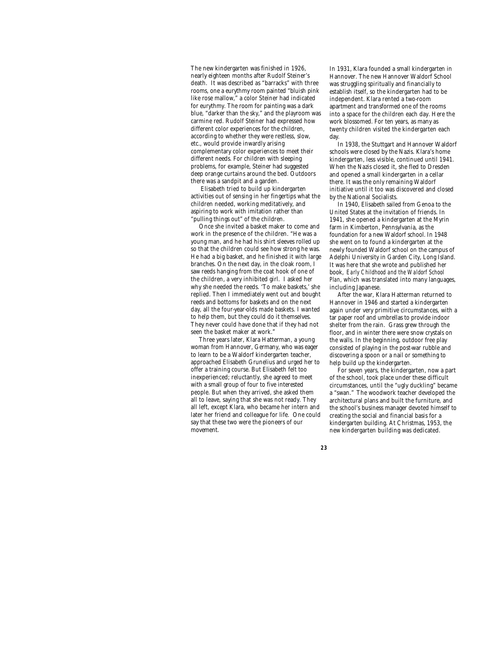The new kindergarten was finished in 1926, nearly eighteen months after Rudolf Steiner's death. It was described as "barracks" with three rooms, one a eurythmy room painted "bluish pink like rose mallow," a color Steiner had indicated for eurythmy. The room for painting was a dark blue, "darker than the sky," and the playroom was carmine red. Rudolf Steiner had expressed how different color experiences for the children, according to whether they were restless, slow, etc., would provide inwardly arising complementary color experiences to meet their different needs. For children with sleeping problems, for example, Steiner had suggested deep orange curtains around the bed. Outdoors there was a sandpit and a garden.

 Elisabeth tried to build up kindergarten activities out of sensing in her fingertips what the children needed, working meditatively, and aspiring to work with imitation rather than "pulling things out" of the children.

Once she invited a basket maker to come and work in the presence of the children. "He was a young man, and he had his shirt sleeves rolled up so that the children could see how strong he was. He had a big basket, and he finished it with large branches. On the next day, in the cloak room, I saw reeds hanging from the coat hook of one of the children, a very inhibited girl. I asked her why she needed the reeds. 'To make baskets,' she replied. Then I immediately went out and bought reeds and bottoms for baskets and on the next day, all the four-year-olds made baskets. I wanted to help them, but they could do it themselves. They never could have done that if they had not seen the basket maker at work."

Three years later, Klara Hatterman, a young woman from Hannover, Germany, who was eager to learn to be a Waldorf kindergarten teacher, approached Elisabeth Grunelius and urged her to offer a training course. But Elisabeth felt too inexperienced; reluctantly, she agreed to meet with a small group of four to five interested people. But when they arrived, she asked them all to leave, saying that she was not ready. They all left, except Klara, who became her intern and later her friend and colleague for life. One could say that these two were the pioneers of our movement.

In 1931, Klara founded a small kindergarten in Hannover. The new Hannover Waldorf School was struggling spiritually and financially to establish itself, so the kindergarten had to be independent. Klara rented a two-room apartment and transformed one of the rooms into a space for the children each day. Here the work blossomed. For ten years, as many as twenty children visited the kindergarten each day.

In 1938, the Stuttgart and Hannover Waldorf schools were closed by the Nazis. Klara's home kindergarten, less visible, continued until 1941. When the Nazis closed it, she fled to Dresden and opened a small kindergarten in a cellar there. It was the only remaining Waldorf initiative until it too was discovered and closed by the National Socialists.

In 1940, Elisabeth sailed from Genoa to the United States at the invitation of friends. In 1941, she opened a kindergarten at the Myrin farm in Kimberton, Pennsylvania, as the foundation for a new Waldorf school. In 1948 she went on to found a kindergarten at the newly founded Waldorf school on the campus of Adelphi University in Garden City, Long Island. It was here that she wrote and published her book, *Early Childhood and the Waldorf School Plan*, which was translated into many languages, including Japanese.

After the war, Klara Hatterman returned to Hannover in 1946 and started a kindergarten again under very primitive circumstances, with a tar paper roof and umbrellas to provide indoor shelter from the rain. Grass grew through the floor, and in winter there were snow crystals on the walls. In the beginning, outdoor free play consisted of playing in the post-war rubble and discovering a spoon or a nail or something to help build up the kindergarten.

For seven years, the kindergarten, now a part of the school, took place under these difficult circumstances, until the "ugly duckling" became a "swan." The woodwork teacher developed the architectural plans and built the furniture, and the school's business manager devoted himself to creating the social and financial basis for a kindergarten building. At Christmas, 1953, the new kindergarten building was dedicated.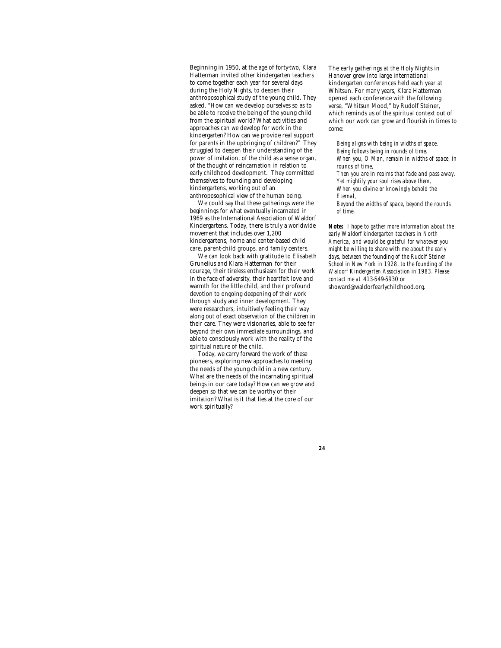Beginning in 1950, at the age of forty-two, Klara Hatterman invited other kindergarten teachers to come together each year for several days during the Holy Nights, to deepen their anthroposophical study of the young child. They asked, "How can we develop ourselves so as to be able to receive the being of the young child from the spiritual world? What activities and approaches can we develop for work in the kindergarten? How can we provide real support for parents in the upbringing of children?" They struggled to deepen their understanding of the power of imitation, of the child as a sense organ, of the thought of reincarnation in relation to early childhood development. They committed themselves to founding and developing kindergartens, working out of an anthroposophical view of the human being.

We could say that these gatherings were the beginnings for what eventually incarnated in 1969 as the International Association of Waldorf Kindergartens. Today, there is truly a worldwide movement that includes over 1,200 kindergartens, home and center-based child care, parent-child groups, and family centers.

We can look back with gratitude to Elisabeth Grunelius and Klara Hatterman for their courage, their tireless enthusiasm for their work in the face of adversity, their heartfelt love and warmth for the little child, and their profound devotion to ongoing deepening of their work through study and inner development. They were researchers, intuitively feeling their way along out of exact observation of the children in their care. They were visionaries, able to see far beyond their own immediate surroundings, and able to consciously work with the reality of the spiritual nature of the child.

Today, we carry forward the work of these pioneers, exploring new approaches to meeting the needs of the young child in a new century. What are the needs of the incarnating spiritual beings in our care today? How can we grow and deepen so that we can be worthy of their imitation? What is it that lies at the core of our work spiritually?

The early gatherings at the Holy Nights in Hanover grew into large international kindergarten conferences held each year at Whitsun. For many years, Klara Hatterman opened each conference with the following verse, "Whitsun Mood," by Rudolf Steiner, which reminds us of the spiritual context out of which our work can grow and flourish in times to come:

*Being aligns with being in widths of space. Being follows being in rounds of time. When you, O Man, remain in widths of space, in rounds of time, Then you are in realms that fade and pass away. Yet mightily your soul rises above them, When you divine or knowingly behold the Eternal,*

*Beyond the widths of space, beyond the rounds of time.*

*Note: I hope to gather more information about the early Waldorf kindergarten teachers in North America, and would be grateful for whatever you might be willing to share with me about the early days, between the founding of the Rudolf Steiner School in New York in 1928, to the founding of the Waldorf Kindergarten Association in 1983. Please contact me at* 413-549-5930 or showard@waldorfearlychildhood.org.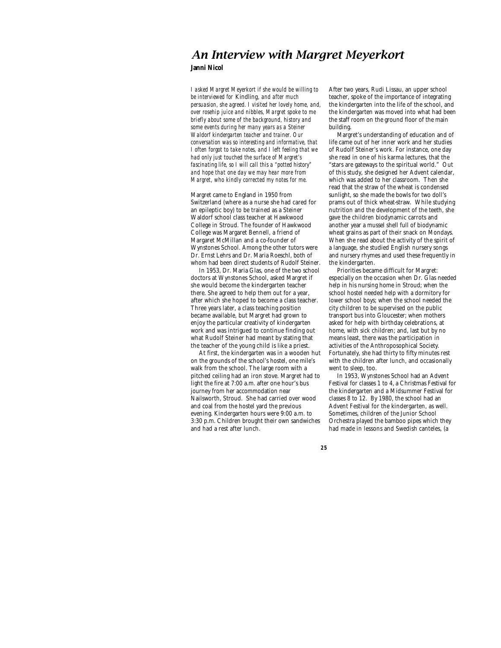## *An Interview with Margret Meyerkort*

## **Janni Nicol**

*I asked Margret Meyerkort if she would be willing to be interviewed for* Kindling*, and after much persuasion, she agreed. I visited her lovely home, and, over rosehip juice and nibbles, Margret spoke to me briefly about some of the background, history and some events during her many years as a Steiner Waldorf kindergarten teacher and trainer. Our conversation was so interesting and informative, that I often forgot to take notes, and I left feeling that we had only just touched the surface of Margret's fascinating life, so I will call this a "potted history" and hope that one day we may hear more from Margret, who kindly corrected my notes for me.*

Margret came to England in 1950 from Switzerland (where as a nurse she had cared for an epileptic boy) to be trained as a Steiner Waldorf school class teacher at Hawkwood College in Stroud. The founder of Hawkwood College was Margaret Bennell, a friend of Margaret McMillan and a co-founder of Wynstones School. Among the other tutors were Dr. Ernst Lehrs and Dr. Maria Roeschl, both of whom had been direct students of Rudolf Steiner.

In 1953, Dr. Maria Glas, one of the two school doctors at Wynstones School, asked Margret if she would become the kindergarten teacher there. She agreed to help them out for a year, after which she hoped to become a class teacher. Three years later, a class teaching position became available, but Margret had grown to enjoy the particular creativity of kindergarten work and was intrigued to continue finding out what Rudolf Steiner had meant by stating that the teacher of the young child is like a priest.

At first, the kindergarten was in a wooden hut on the grounds of the school's hostel, one mile's walk from the school. The large room with a pitched ceiling had an iron stove. Margret had to light the fire at 7:00 a.m. after one hour's bus journey from her accommodation near Nailsworth, Stroud. She had carried over wood and coal from the hostel yard the previous evening. Kindergarten hours were 9:00 a.m. to 3:30 p.m. Children brought their own sandwiches and had a rest after lunch.

After two years, Rudi Lissau, an upper school teacher, spoke of the importance of integrating the kindergarten into the life of the school, and the kindergarten was moved into what had been the staff room on the ground floor of the main building.

Margret's understanding of education and of life came out of her inner work and her studies of Rudolf Steiner's work. For instance, one day she read in one of his karma lectures, that the "stars are gateways to the spiritual world." Out of this study, she designed her Advent calendar, which was added to her classroom. Then she read that the straw of the wheat is condensed sunlight, so she made the bowls for two doll's prams out of thick wheat-straw. While studying nutrition and the development of the teeth, she gave the children biodynamic carrots and another year a mussel shell full of biodynamic wheat grains as part of their snack on Mondays. When she read about the activity of the spirit of a language, she studied English nursery songs and nursery rhymes and used these frequently in the kindergarten.

Priorities became difficult for Margret: especially on the occasion when Dr. Glas needed help in his nursing home in Stroud; when the school hostel needed help with a dormitory for lower school boys; when the school needed the city children to be supervised on the public transport bus into Gloucester; when mothers asked for help with birthday celebrations, at home, with sick children; and, last but by no means least, there was the participation in activities of the Anthroposophical Society. Fortunately, she had thirty to fifty minutes rest with the children after lunch, and occasionally went to sleep, too.

In 1953, Wynstones School had an Advent Festival for classes 1 to 4, a Christmas Festival for the kindergarten and a Midsummer Festival for classes 8 to 12. By 1980, the school had an Advent Festival for the kindergarten, as well. Sometimes, children of the Junior School Orchestra played the bamboo pipes which they had made in lessons and Swedish canteles, (a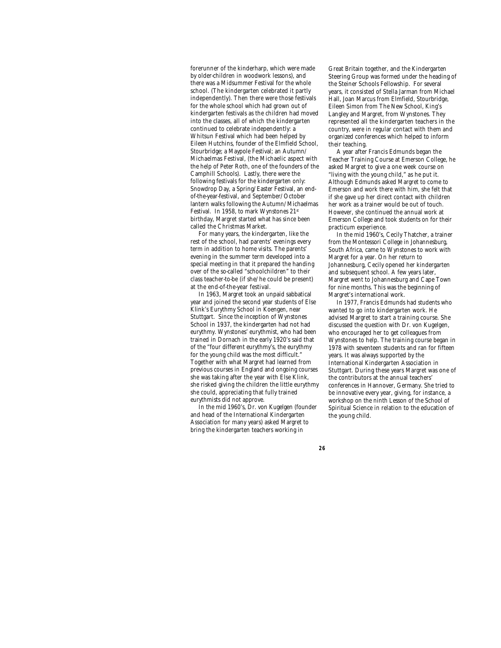forerunner of the kinderharp, which were made by older-children in woodwork lessons), and there was a Midsummer Festival for the whole school. (The kindergarten celebrated it partly independently). Then there were those festivals for the whole school which had grown out of kindergarten festivals as the children had moved into the classes, all of which the kindergarten continued to celebrate independently: a Whitsun Festival which had been helped by Eileen Hutchins, founder of the Elmfield School, Stourbridge; a Maypole Festival; an Autumn/ Michaelmas Festival, (the Michaelic aspect with the help of Peter Roth, one of the founders of the Camphill Schools). Lastly, there were the following festivals for the kindergarten only: Snowdrop Day, a Spring/Easter Festival, an endof-the-year-festival, and September/October lantern walks following the Autumn/Michaelmas Festival. In 1958, to mark Wynstones 21st birthday, Margret started what has since been called the Christmas Market.

For many years, the kindergarten, like the rest of the school, had parents' evenings every term in addition to home visits. The parents' evening in the summer term developed into a special meeting in that it prepared the handing over of the so-called "schoolchildren" to their class teacher-to-be (if she/he could be present) at the end-of-the-year festival.

In 1963, Margret took an unpaid sabbatical year and joined the second year students of Else Klink's Eurythmy School in Koengen, near Stuttgart. Since the inception of Wynstones School in 1937, the kindergarten had not had eurythmy. Wynstones' eurythmist, who had been trained in Dornach in the early 1920's said that of the "four different eurythmy's, the eurythmy for the young child was the most difficult." Together with what Margret had learned from previous courses in England and ongoing courses she was taking after the year with Else Klink, she risked giving the children the little eurythmy she could, appreciating that fully trained eurythmists did not approve.

In the mid 1960's, Dr. von Kugelgen (founder and head of the International Kindergarten Association for many years) asked Margret to bring the kindergarten teachers working in

Great Britain together, and the Kindergarten Steering Group was formed under the heading of the Steiner Schools Fellowship. For several years, it consisted of Stella Jarman from Michael Hall, Joan Marcus from Elmfield, Stourbridge, Eileen Simon from The New School, King's Langley and Margret, from Wynstones. They represented all the kindergarten teachers in the country, were in regular contact with them and organized conferences which helped to inform their teaching.

A year after Francis Edmunds began the Teacher Training Course at Emerson College, he asked Margret to give a one week course on "living with the young child," as he put it. Although Edmunds asked Margret to come to Emerson and work there with him, she felt that if she gave up her direct contact with children her work as a trainer would be out of touch. However, she continued the annual work at Emerson College and took students on for their practicum experience.

In the mid 1960's, Cecily Thatcher, a trainer from the Montessori College in Johannesburg, South Africa, came to Wynstones to work with Margret for a year. On her return to Johannesburg, Cecily opened her kindergarten and subsequent school. A few years later, Margret went to Johannesburg and Cape Town for nine months. This was the beginning of Margret's international work.

In 1977, Francis Edmunds had students who wanted to go into kindergarten work. He advised Margret to start a training course. She discussed the question with Dr. von Kugelgen, who encouraged her to get colleagues from Wynstones to help. The training course began in 1978 with seventeen students and ran for fifteen years. It was always supported by the International Kindergarten Association in Stuttgart. During these years Margret was one of the contributors at the annual teachers' conferences in Hannover, Germany. She tried to be innovative every year, giving, for instance, a workshop on the ninth Lesson of the School of Spiritual Science in relation to the education of the young child.

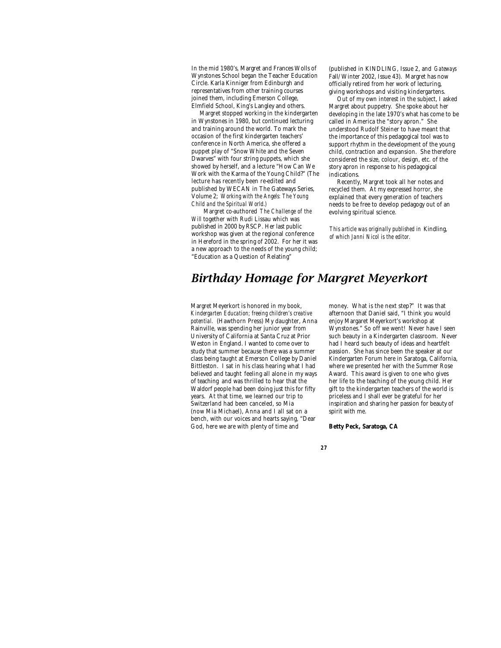In the mid 1980's, Margret and Frances Wolls of Wynstones School began the Teacher Education Circle. Karla Kinniger from Edinburgh and representatives from other training courses joined them, including Emerson College, Elmfield School, King's Langley and others.

Margret stopped working in the kindergarten in Wynstones in 1980, but continued lecturing and training around the world. To mark the occasion of the first kindergarten teachers' conference in North America, she offered a puppet play of "Snow White and the Seven Dwarves" with four string puppets, which she showed by herself, and a lecture "How Can We Work with the Karma of the Young Child?" (The lecture has recently been re-edited and published by WECAN in The Gateways Series, Volume 2; *Working with the Angels: The Young Child and the Spiritual World.)*

Margret co-authored *The Challenge of the Will* together with Rudi Lissau which was published in 2000 by RSCP*.* Her last public workshop was given at the regional conference in Hereford in the spring of 2002. For her it was a new approach to the needs of the young child; "Education as a Question of Relating"

(published in KINDLING, Issue 2, and *Gateways* Fall/Winter 2002, Issue 43). Margret has now officially retired from her work of lecturing, giving workshops and visiting kindergartens.

Out of my own interest in the subject, I asked Margret about puppetry. She spoke about her developing in the late 1970's what has come to be called in America the "story apron." She understood Rudolf Steiner to have meant that the importance of this pedagogical tool was to support rhythm in the development of the young child, contraction and expansion. She therefore considered the size, colour, design, etc. of the story apron in response to his pedagogical indications.

Recently, Margret took all her notes and recycled them. At my expressed horror, she explained that every generation of teachers needs to be free to develop pedagogy out of an evolving spiritual science.

*This article was originally published in* Kindling, *of which Janni Nicol is the editor.*

# *Birthday Homage for Margret Meyerkort*

Margret Meyerkort is honored in my book, *Kindergarten Education; freeing children's creative potential.* (Hawthorn Press) My daughter, Anna Rainville, was spending her junior year from University of California at Santa Cruz at Prior Weston in England. I wanted to come over to study that summer because there was a summer class being taught at Emerson College by Daniel Bittleston. I sat in his class hearing what I had believed and taught feeling all alone in my ways of teaching and was thrilled to hear that the Waldorf people had been doing just this for fifty years. At that time, we learned our trip to Switzerland had been canceled, so Mia (now Mia Michael), Anna and I all sat on a bench, with our voices and hearts saying, "Dear God, here we are with plenty of time and

money. What is the next step?" It was that afternoon that Daniel said, "I think you would enjoy Margaret Meyerkort's workshop at Wynstones." So off we went! Never have I seen such beauty in a Kindergarten classroom. Never had I heard such beauty of ideas and heartfelt passion. She has since been the speaker at our Kindergarten Forum here in Saratoga, California, where we presented her with the Summer Rose Award. This award is given to one who gives her life to the teaching of the young child. Her gift to the kindergarten teachers of the world is priceless and I shall ever be grateful for her inspiration and sharing her passion for beauty of spirit with me.

## **Betty Peck, Saratoga, CA**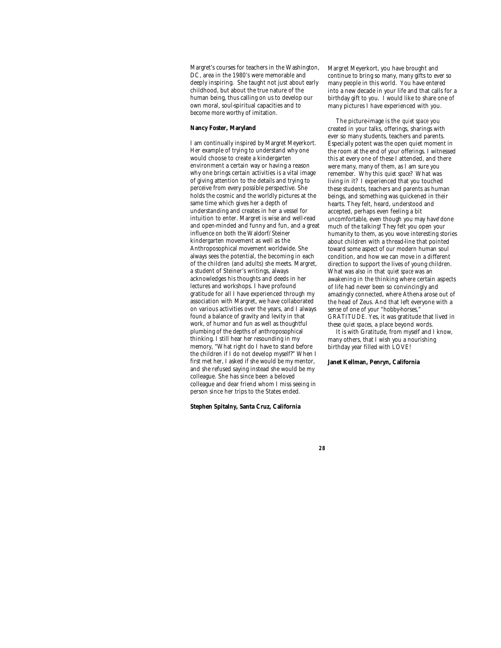Margret's courses for teachers in the Washington, DC, area in the 1980's were memorable and deeply inspiring. She taught not just about early childhood, but about the true nature of the human being, thus calling on us to develop our own moral, soul-spiritual capacities and to become more worthy of imitation.

## **Nancy Foster, Maryland**

I am continually inspired by Margret Meyerkort. Her example of trying to understand why one would choose to create a kindergarten environment a certain way or having a reason why one brings certain activities is a vital image of giving attention to the details and trying to perceive from every possible perspective. She holds the cosmic and the worldly pictures at the same time which gives her a depth of understanding and creates in her a vessel for intuition to enter. Margret is wise and well-read and open-minded and funny and fun, and a great influence on both the Waldorf/Steiner kindergarten movement as well as the Anthroposophical movement worldwide. She always sees the potential, the becoming in each of the children (and adults) she meets. Margret, a student of Steiner's writings, always acknowledges his thoughts and deeds in her lectures and workshops. I have profound gratitude for all I have experienced through my association with Margret, we have collaborated on various activities over the years, and I always found a balance of gravity and levity in that work, of humor and fun as well as thoughtful plumbing of the depths of anthroposophical thinking. I still hear her resounding in my memory, "What right do I have to stand before the children if I do not develop myself?" When I first met her, I asked if she would be my mentor, and she refused saying instead she would be my colleague. She has since been a beloved colleague and dear friend whom I miss seeing in person since her trips to the States ended.

**Stephen Spitalny, Santa Cruz, California**

Margret Meyerkort, you have brought and continue to bring so many, many gifts to ever so many people in this world. You have entered into a new decade in your life and that calls for a birthday gift to you. I would like to share one of many pictures I have experienced with you.

The picture-image is the *quiet space* you created in your talks, offerings, sharings with ever so many students, teachers and parents. Especially potent was the open quiet moment in the room at the end of your offerings. I witnessed this at every one of these I attended, and there were many, many of them, as I am sure you remember. Why this *quiet space*? What was living in it? I experienced that you touched these students, teachers and parents as human beings, and something was quickened in their hearts. They felt, heard, understood and accepted, perhaps even feeling a bit uncomfortable, even though you may have done much of the talking! They felt you open your humanity to them, as you wove interesting stories about children with a thread-line that pointed toward some aspect of our modern human soul condition, and how we can move in a different direction to support the lives of young children. What was also in that *quiet space* was an awakening in the thinking where certain aspects of life had never been so convincingly and amazingly connected, where Athena arose out of the head of Zeus. And that left everyone with a sense of one of your "hobby-horses," GRATITUDE. Yes, it was gratitude that lived in these *quiet spaces*, a place beyond words.

It is with Gratitude, from myself and I know, many others, that I wish you a nourishing birthday year filled with LOVE!

#### **Janet Kellman, Penryn, California**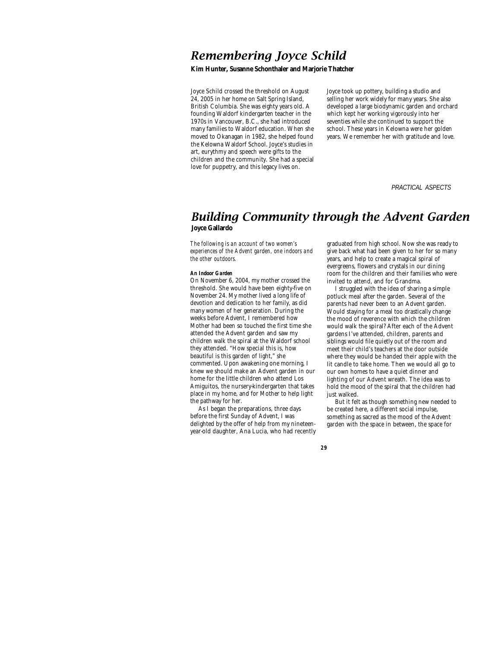# *Remembering Joyce Schild*

**Kim Hunter, Susanne Schonthaler and Marjorie Thatcher**

Joyce Schild crossed the threshold on August 24, 2005 in her home on Salt Spring Island, British Columbia. She was eighty years old. A founding Waldorf kindergarten teacher in the 1970s in Vancouver, B.C., she had introduced many families to Waldorf education. When she moved to Okanagan in 1982, she helped found the Kelowna Waldorf School. Joyce's studies in art, eurythmy and speech were gifts to the children and the community. She had a special love for puppetry, and this legacy lives on.

Joyce took up pottery, building a studio and selling her work widely for many years. She also developed a large biodynamic garden and orchard which kept her working vigorously into her seventies while she continued to support the school. These years in Kelowna were her golden years. We remember her with gratitude and love.

 *PRACTICAL ASPECTS*

## *Building Community through the Advent Garden* **Joyce Gallardo**

*29*

*The following is an account of two women's experiences of the Advent garden, one indoors and the other outdoors.*

## *An Indoor Garden*

On November 6, 2004, my mother crossed the threshold. She would have been eighty-five on November 24. My mother lived a long life of devotion and dedication to her family, as did many women of her generation. During the weeks before Advent, I remembered how Mother had been so touched the first time she attended the Advent garden and saw my children walk the spiral at the Waldorf school they attended. "How special this is, how beautiful is this garden of light," she commented. Upon awakening one morning, I knew we should make an Advent garden in our home for the little children who attend Los Amiguitos, the nursery-kindergarten that takes place in my home, and for Mother to help light the pathway for her.

As I began the preparations, three days before the first Sunday of Advent, I was delighted by the offer of help from my nineteenyear-old daughter, Ana Lucia, who had recently graduated from high school. Now she was ready to give back what had been given to her for so many years, and help to create a magical spiral of evergreens, flowers and crystals in our dining room for the children and their families who were invited to attend, and for Grandma.

I struggled with the idea of sharing a simple potluck meal after the garden. Several of the parents had never been to an Advent garden. Would staying for a meal too drastically change the mood of reverence with which the children would walk the spiral? After each of the Advent gardens I've attended, children, parents and siblings would file quietly out of the room and meet their child's teachers at the door outside where they would be handed their apple with the lit candle to take home. Then we would all go to our own homes to have a quiet dinner and lighting of our Advent wreath. The idea was to hold the mood of the spiral that the children had just walked.

But it felt as though something new needed to be created here, a different social impulse, something as sacred as the mood of the Advent garden with the space in between, the space for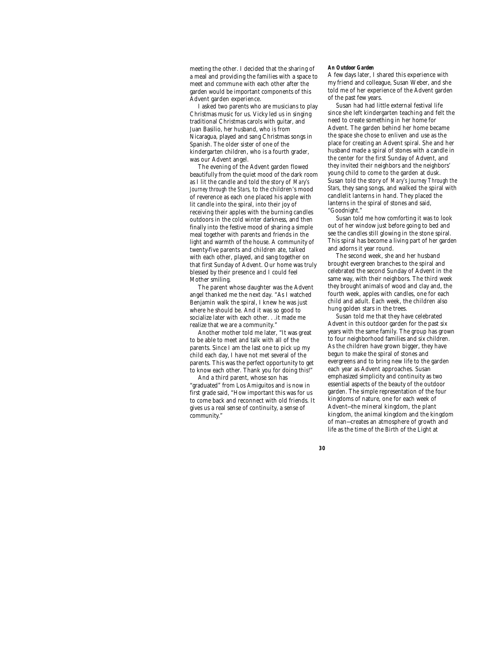meeting the other. I decided that the sharing of a meal and providing the families with a space to meet and commune with each other after the garden would be important components of this Advent garden experience.

I asked two parents who are musicians to play Christmas music for us. Vicky led us in singing traditional Christmas carols with guitar, and Juan Basilio, her husband, who is from Nicaragua, played and sang Christmas songs in Spanish. The older sister of one of the kindergarten children, who is a fourth grader, was our Advent angel.

The evening of the Advent garden flowed beautifully from the quiet mood of the dark room as I lit the candle and told the story of *Mary's Journey through the Stars,* to the children's mood of reverence as each one placed his apple with lit candle into the spiral, into their joy of receiving their apples with the burning candles outdoors in the cold winter darkness, and then finally into the festive mood of sharing a simple meal together with parents and friends in the light and warmth of the house. A community of twenty-five parents and children ate, talked with each other, played, and sang together on that first Sunday of Advent. Our home was truly blessed by their presence and I could feel Mother smiling.

The parent whose daughter was the Advent angel thanked me the next day. "As I watched Benjamin walk the spiral, I knew he was just where he should be. And it was so good to socialize later with each other. . .it made me realize that we are a community."

Another mother told me later, "It was great to be able to meet and talk with all of the parents. Since I am the last one to pick up my child each day, I have not met several of the parents. This was the perfect opportunity to get to know each other. Thank you for doing this!"

And a third parent, whose son has "graduated" from Los Amiguitos and is now in first grade said, "How important this was for us to come back and reconnect with old friends. It gives us a real sense of continuity, a sense of community."

*30*

### *An Outdoor Garden*

A few days later, I shared this experience with my friend and colleague, Susan Weber, and she told me of her experience of the Advent garden of the past few years.

Susan had had little external festival life since she left kindergarten teaching and felt the need to create something in her home for Advent. The garden behind her home became the space she chose to enliven and use as the place for creating an Advent spiral. She and her husband made a spiral of stones with a candle in the center for the first Sunday of Advent, and they invited their neighbors and the neighbors' young child to come to the garden at dusk. Susan told the story of *Mary's Journey Through the Stars*, they sang songs, and walked the spiral with candlelit lanterns in hand. They placed the lanterns in the spiral of stones and said, "Goodnight."

Susan told me how comforting it was to look out of her window just before going to bed and see the candles still glowing in the stone spiral. This spiral has become a living part of her garden and adorns it year round.

The second week, she and her husband brought evergreen branches to the spiral and celebrated the second Sunday of Advent in the same way, with their neighbors. The third week they brought animals of wood and clay and, the fourth week, apples with candles, one for each child and adult. Each week, the children also hung golden stars in the trees.

Susan told me that they have celebrated Advent in this outdoor garden for the past six years with the same family. The group has grown to four neighborhood families and six children. As the children have grown bigger, they have begun to make the spiral of stones and evergreens and to bring new life to the garden each year as Advent approaches. Susan emphasized simplicity and continuity as two essential aspects of the beauty of the outdoor garden. The simple representation of the four kingdoms of nature, one for each week of Advent—the mineral kingdom, the plant kingdom, the animal kingdom and the kingdom of man—creates an atmosphere of growth and life as the time of the Birth of the Light at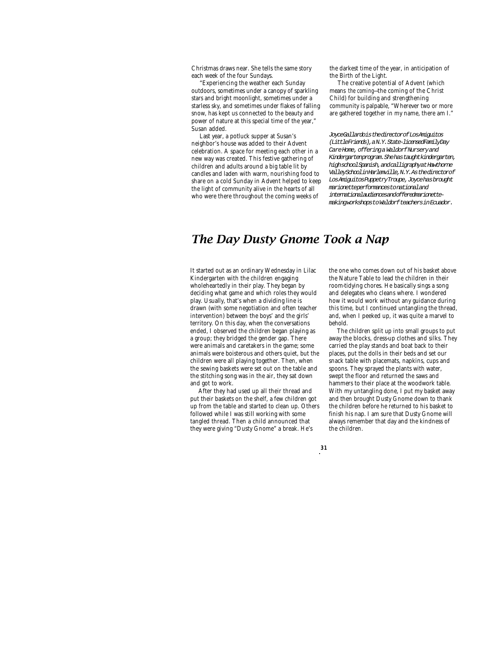Christmas draws near. She tells the same story each week of the four Sundays.

"Experiencing the weather each Sunday outdoors, sometimes under a canopy of sparkling stars and bright moonlight, sometimes under a starless sky, and sometimes under flakes of falling snow, has kept us connected to the beauty and power of nature at this special time of the year," Susan added.

Last year, a potluck supper at Susan's neighbor's house was added to their Advent celebration. A space for meeting each other in a new way was created. This festive gathering of children and adults around a big table lit by candles and laden with warm, nourishing food to share on a cold Sunday in Advent helped to keep the light of community alive in the hearts of all who were there throughout the coming weeks of

the darkest time of the year, in anticipation of the Birth of the Light.

The creative potential of Advent (which means *the coming*—the coming of the Christ Child) for building and strengthening community is palpable, "Wherever two or more are gathered together in my name, there am I."

*Joyce Gallardo is the director of Los Amiguitos (Little Friends), a N.Y. State-licensed Family Day Care Home, offering a Waldorf Nursery and Kindergarten program. She has taught kindergarten, high school Spanish, and calligraphy at Hawthorne Valley School in Harlemville, N.Y. As the director of Los Amiguitos Puppetry Troupe, Joyce has brought marionette performances to national and international audiences and offered marionettemaking workshops to Waldorf teachers in Ecuador.*

# *The Day Dusty Gnome Took a Nap*

*31*

It started out as an ordinary Wednesday in Lilac Kindergarten with the children engaging wholeheartedly in their play. They began by deciding what game and which roles they would play. Usually, that's when a dividing line is drawn (with some negotiation and often teacher intervention) between the boys' and the girls' territory. On this day, when the conversations ended, I observed the children began playing as a group; they bridged the gender gap. There were animals and caretakers in the game; some animals were boisterous and others quiet, but the children were all playing together. Then, when the sewing baskets were set out on the table and the stitching song was in the air, they sat down and got to work.

After they had used up all their thread and put their baskets on the shelf, a few children got up from the table and started to clean up. Others followed while I was still working with some tangled thread. Then a child announced that they were giving "Dusty Gnome" a break. He's

the one who comes down out of his basket above the Nature Table to lead the children in their room-tidying chores. He basically sings a song and delegates who cleans where. I wondered how it would work without any guidance during this time, but I continued untangling the thread, and, when I peeked up, it was quite a marvel to behold.

The children split up into small groups to put away the blocks, dress-up clothes and silks. They carried the play stands and boat back to their places, put the dolls in their beds and set our snack table with placemats, napkins, cups and spoons. They sprayed the plants with water, swept the floor and returned the saws and hammers to their place at the woodwork table. With my untangling done, I put my basket away and then brought Dusty Gnome down to thank the children before he returned to his basket to finish his nap. I am sure that Dusty Gnome will always remember that day and the kindness of the children.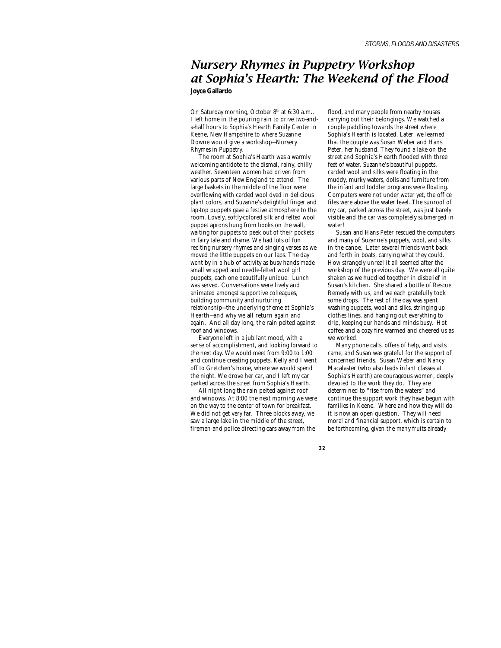## *Nursery Rhymes in Puppetry Workshop at Sophia's Hearth: The Weekend of the Flood* **Joyce Gallardo**

On Saturday morning, October 8<sup>th</sup> at 6:30 a.m., I left home in the pouring rain to drive two-anda-half hours to Sophia's Hearth Family Center in Keene, New Hampshire to where Suzanne Downe would give a workshop—Nursery Rhymes in Puppetry.

The room at Sophia's Hearth was a warmly welcoming antidote to the dismal, rainy, chilly weather. Seventeen women had driven from various parts of New England to attend. The large baskets in the middle of the floor were overflowing with carded wool dyed in delicious plant colors, and Suzanne's delightful finger and lap-top puppets gave a festive atmosphere to the room. Lovely, softly-colored silk and felted wool puppet aprons hung from hooks on the wall, waiting for puppets to peek out of their pockets in fairy tale and rhyme. We had lots of fun reciting nursery rhymes and singing verses as we moved the little puppets on our laps. The day went by in a hub of activity as busy hands made small wrapped and needle-felted wool girl puppets, each one beautifully unique. Lunch was served. Conversations were lively and animated amongst supportive colleagues, building community and nurturing relationship—the underlying theme at Sophia's Hearth—and why we all return again and again. And all day long, the rain pelted against roof and windows.

Everyone left in a jubilant mood, with a sense of accomplishment, and looking forward to the next day. We would meet from 9:00 to 1:00 and continue creating puppets. Kelly and I went off to Gretchen's home, where we would spend the night. We drove her car, and I left my car parked across the street from Sophia's Hearth.

All night long the rain pelted against roof and windows. At 8:00 the next morning we were on the way to the center of town for breakfast. We did not get very far. Three blocks away, we saw a large lake in the middle of the street, firemen and police directing cars away from the

flood, and many people from nearby houses carrying out their belongings. We watched a couple paddling towards the street where Sophia's Hearth is located. Later, we learned that the couple was Susan Weber and Hans Peter, her husband. They found a lake on the street and Sophia's Hearth flooded with three feet of water. Suzanne's beautiful puppets, carded wool and silks were floating in the muddy, murky waters, dolls and furniture from the infant and toddler programs were floating. Computers were not under water yet, the office files were above the water level. The sunroof of my car, parked across the street, was just barely visible and the car was completely submerged in water!

Susan and Hans Peter rescued the computers and many of Suzanne's puppets, wool, and silks in the canoe. Later several friends went back and forth in boats, carrying what they could. How strangely unreal it all seemed after the workshop of the previous day. We were all quite shaken as we huddled together in disbelief in Susan's kitchen. She shared a bottle of Rescue Remedy with us, and we each gratefully took some drops. The rest of the day was spent washing puppets, wool and silks, stringing up clothes lines, and hanging out everything to drip, keeping our hands and minds busy. Hot coffee and a cozy fire warmed and cheered us as we worked.

Many phone calls, offers of help, and visits came, and Susan was grateful for the support of concerned friends. Susan Weber and Nancy Macalaster (who also leads infant classes at Sophia's Hearth) are courageous women, deeply devoted to the work they do. They are determined to "rise from the waters" and continue the support work they have begun with families in Keene. Where and how they will do it is now an open question. They will need moral and financial support, which is certain to be forthcoming, given the many fruits already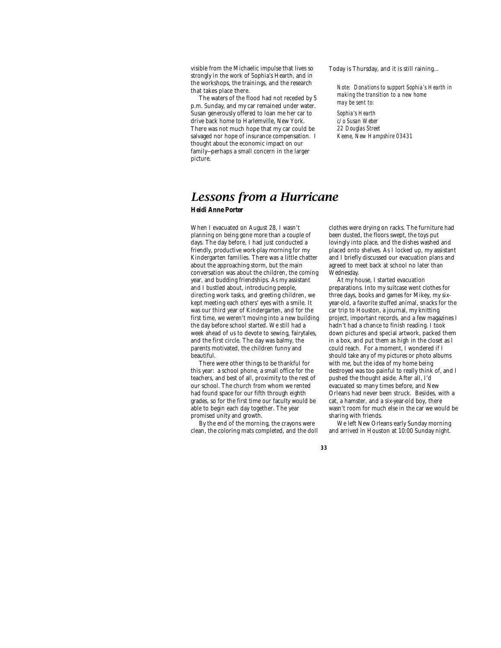visible from the Michaelic impulse that lives so strongly in the work of Sophia's Hearth, and in the workshops, the trainings, and the research that takes place there.

The waters of the flood had not receded by 5 p.m. Sunday, and my car remained under water. Susan generously offered to loan me her car to drive back home to Harlemville, New York. There was not much hope that my car could be salvaged nor hope of insurance compensation. I thought about the economic impact on our family—perhaps a small concern in the larger picture.

Today is Thursday, and it is still raining…

*Note: Donations to support Sophia's Hearth in making the transition to a new home may be sent to:*

*Sophia's Hearth c/o Susan Weber 22 Douglas Street Keene, New Hampshire 03431*

# *Lessons from a Hurricane*

## **Heidi Anne Porter**

When I evacuated on August 28, I wasn't planning on being gone more than a couple of days. The day before, I had just conducted a friendly, productive work-play morning for my Kindergarten families. There was a little chatter about the approaching storm, but the main conversation was about the children, the coming year, and budding friendships. As my assistant and I bustled about, introducing people, directing work tasks, and greeting children, we kept meeting each others' eyes with a smile. It was our third year of Kindergarten, and for the first time, we weren't moving into a new building the day before school started. We still had a week ahead of us to devote to sewing, fairytales, and the first circle. The day was balmy, the parents motivated, the children funny and beautiful.

There were other things to be thankful for this year: a school phone, a small office for the teachers, and best of all, proximity to the rest of our school. The church from whom we rented had found space for our fifth through eighth grades, so for the first time our faculty would be able to begin each day together. The year promised unity and growth.

By the end of the morning, the crayons were clean, the coloring mats completed, and the doll

clothes were drying on racks. The furniture had been dusted, the floors swept, the toys put lovingly into place, and the dishes washed and placed onto shelves. As I locked up, my assistant and I briefly discussed our evacuation plans and agreed to meet back at school no later than Wednesday.

At my house, I started evacuation preparations. Into my suitcase went clothes for three days, books and games for Mikey, my sixyear-old, a favorite stuffed animal, snacks for the car trip to Houston, a journal, my knitting project, important records, and a few magazines I hadn't had a chance to finish reading. I took down pictures and special artwork, packed them in a box, and put them as high in the closet as I could reach. For a moment, I wondered if I should take any of my pictures or photo albums with me, but the idea of my home being destroyed was too painful to really think of, and I pushed the thought aside. After all, I'd evacuated so many times before, and New Orleans had never been struck. Besides, with a cat, a hamster, and a six-year-old boy, there wasn't room for much else in the car we would be sharing with friends.

We left New Orleans early Sunday morning and arrived in Houston at 10:00 Sunday night.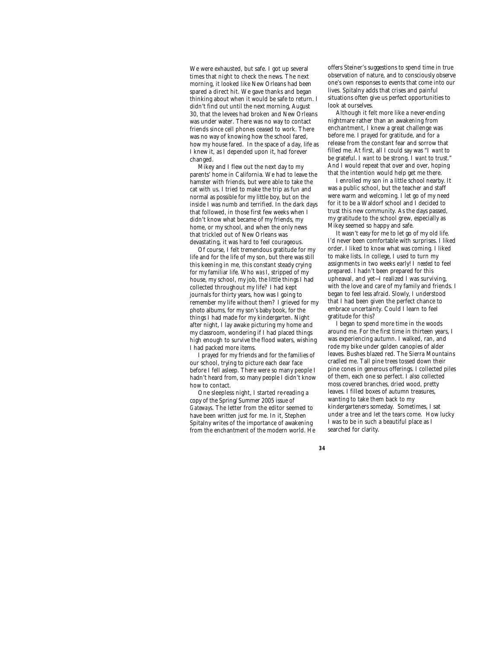We were exhausted, but safe. I got up several times that night to check the news. The next morning, it looked like New Orleans had been spared a direct hit. We gave thanks and began thinking about when it would be safe to return. I didn't find out until the next morning, August 30, that the levees had broken and New Orleans was under water. There was no way to contact friends since cell phones ceased to work. There was no way of knowing how the school fared, how my house fared. In the space of a day, life as I knew it, as I depended upon it, had forever changed.

Mikey and I flew out the next day to my parents' home in California. We had to leave the hamster with friends, but were able to take the cat with us. I tried to make the trip as fun and normal as possible for my little boy, but on the inside I was numb and terrified. In the dark days that followed, in those first few weeks when I didn't know what became of my friends, my home, or my school, and when the only news that trickled out of New Orleans was devastating, it was hard to feel courageous.

Of course, I felt tremendous gratitude for my life and for the life of my son, but there was still this keening in me, this constant steady crying for my familiar life. Who *was* I, stripped of my house, my school, my job, the little things I had collected throughout my life? I had kept journals for thirty years, how was I going to remember my life without them? I grieved for my photo albums, for my son's baby book, for the things I had made for my kindergarten. Night after night, I lay awake picturing my home and my classroom, wondering if I had placed things high enough to survive the flood waters, wishing I had packed more items.

I prayed for my friends and for the families of our school, trying to picture each dear face before I fell asleep. There were so many people I hadn't heard from, so many people I didn't know how to contact.

One sleepless night, I started re-reading a copy of the Spring/Summer 2005 issue of *Gateways*. The letter from the editor seemed to have been written just for me. In it, Stephen Spitalny writes of the importance of awakening from the enchantment of the modern world. He offers Steiner's suggestions to spend time in true observation of nature, and to consciously observe one's own responses to events that come into our lives. Spitalny adds that crises and painful situations often give us perfect opportunities to look at ourselves.

Although it felt more like a never-ending nightmare rather than an awakening from enchantment, I knew a great challenge was before me. I prayed for gratitude, and for a release from the constant fear and sorrow that filled me. At first, all I could say was "I *want* to be grateful. I *want* to be strong. I *want* to trust." And I would repeat that over and over, hoping that the intention would help get me there.

I enrolled my son in a little school nearby. It was a public school, but the teacher and staff were warm and welcoming. I let go of my need for it to be a Waldorf school and I decided to trust this new community. As the days passed, my gratitude to the school grew, especially as Mikey seemed so happy and safe.

It wasn't easy for me to let go of my old life. I'd never been comfortable with surprises. I liked order. I liked to know what was coming. I liked to make lists. In college, I used to turn my assignments in two weeks early! I *needed* to feel prepared. I hadn't been prepared for this upheaval, and yet—I realized I was surviving, with the love and care of my family and friends. I began to feel less afraid. Slowly, I understood that I had been given the perfect chance to embrace uncertainty. Could I learn to feel gratitude for this?

I began to spend more time in the woods around me. For the first time in thirteen years, I was experiencing autumn. I walked, ran, and rode my bike under golden canopies of alder leaves. Bushes blazed red. The Sierra Mountains cradled me. Tall pine trees tossed down their pine cones in generous offerings. I collected piles of them, each one so perfect. I also collected moss covered branches, dried wood, pretty leaves. I filled boxes of autumn treasures, wanting to take them back to my kindergarteners someday. Sometimes, I sat under a tree and let the tears come. How lucky I was to be in such a beautiful place as I searched for clarity.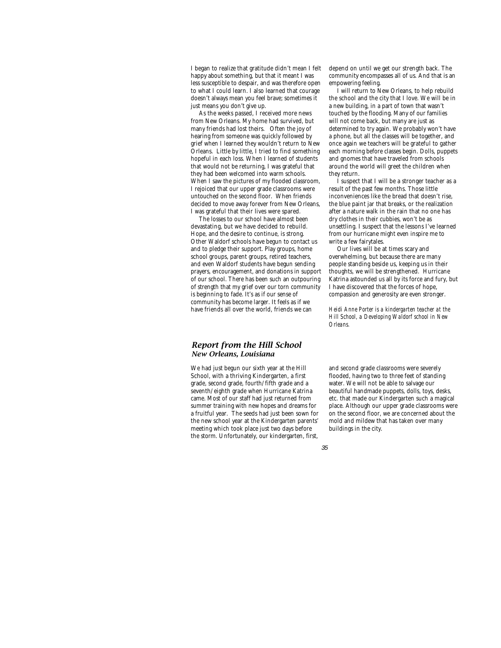I began to realize that gratitude didn't mean I felt happy about something, but that it meant I was less susceptible to despair, and was therefore open to what I could learn. I also learned that courage doesn't always mean you feel brave; sometimes it just means you don't give up.

As the weeks passed, I received more news from New Orleans. My home had survived, but many friends had lost theirs. Often the joy of hearing from someone was quickly followed by grief when I learned they wouldn't return to New Orleans. Little by little, I tried to find something hopeful in each loss. When I learned of students that would not be returning, I was grateful that they had been welcomed into warm schools. When I saw the pictures of my flooded classroom, I rejoiced that our upper grade classrooms were untouched on the second floor. When friends decided to move away forever from New Orleans, I was grateful that their lives were spared.

The losses to our school have almost been devastating, but we have decided to rebuild. Hope, and the desire to continue, is strong. Other Waldorf schools have begun to contact us and to pledge their support. Play groups, home school groups, parent groups, retired teachers, and even Waldorf students have begun sending prayers, encouragement, and donations in support of our school. There has been such an outpouring of strength that my grief over our torn community is beginning to fade. It's as if our sense of community has become larger. It feels as if we have friends all over the world, friends we can

## *Report from the Hill School New Orleans, Louisiana*

We had just begun our sixth year at the Hill School, with a thriving Kindergarten, a first grade, second grade, fourth/fifth grade and a seventh/eighth grade when Hurricane Katrina came. Most of our staff had just returned from summer training with new hopes and dreams for a fruitful year. The seeds had just been sown for the new school year at the Kindergarten parents' meeting which took place just two days before the storm. Unfortunately, our kindergarten, first, depend on until we get our strength back. The community encompasses all of us. And that is an empowering feeling.

I will return to New Orleans, to help rebuild the school and the city that I love. We will be in a new building, in a part of town that wasn't touched by the flooding. Many of our families will not come back, but many are just as determined to try again. We probably won't have a phone, but all the classes will be together, and once again we teachers will be grateful to gather each morning before classes begin. Dolls, puppets and gnomes that have traveled from schools around the world will greet the children when they return.

I suspect that I will be a stronger teacher as a result of the past few months. Those little inconveniences like the bread that doesn't rise, the blue paint jar that breaks, or the realization after a nature walk in the rain that no one has dry clothes in their cubbies, won't be as unsettling. I suspect that the lessons I've learned from our hurricane might even inspire me to write a few fairytales.

Our lives will be at times scary and overwhelming, but because there are many people standing beside us, keeping us in their thoughts, we will be strengthened. Hurricane Katrina astounded us all by its force and fury, but I have discovered that the forces of hope, compassion and generosity are even stronger.

*Heidi Anne Porter is a kindergarten teacher at the Hill School, a Developing Waldorf school in New Orleans.*

and second grade classrooms were severely flooded, having two to three feet of standing water. We will not be able to salvage our beautiful handmade puppets, dolls, toys, desks, etc. that made our Kindergarten such a magical place. Although our upper grade classrooms were on the second floor, we are concerned about the mold and mildew that has taken over many buildings in the city.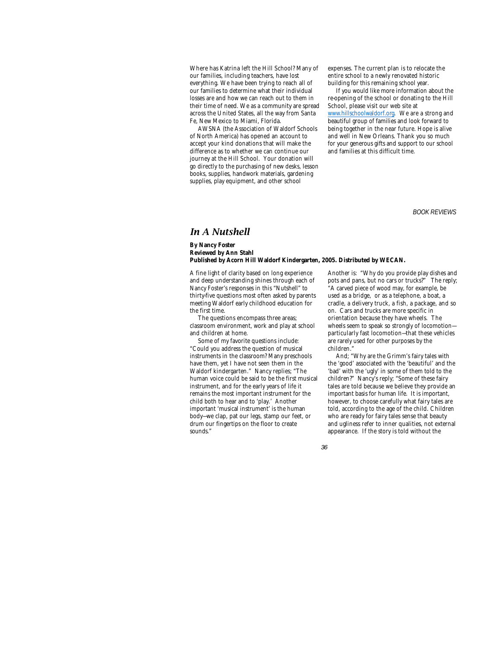Where has Katrina left the Hill School? Many of our families, including teachers, have lost everything. We have been trying to reach all of our families to determine what their individual losses are and how we can reach out to them in their time of need. We as a community are spread across the United States, all the way from Santa Fe, New Mexico to Miami, Florida.

AWSNA (the Association of Waldorf Schools of North America) has opened an account to accept your kind donations that will make the difference as to whether we can continue our journey at the Hill School. Your donation will go directly to the purchasing of new desks, lesson books, supplies, handwork materials, gardening supplies, play equipment, and other school

expenses. The current plan is to relocate the entire school to a newly renovated historic building for this remaining school year.

If you would like more information about the re-opening of the school or donating to the Hill School, please visit our web site at www.hillschoolwaldorf.org. We are a strong and beautiful group of families and look forward to being together in the near future. Hope is alive and well in New Orleans. Thank you so much for your generous gifts and support to our school

and families at this difficult time.

*BOOK REVIEWS*

## *In A Nutshell*

### **By Nancy Foster Reviewed by Ann Stahl Published by Acorn Hill Waldorf Kindergarten, 2005. Distributed by WECAN.**

A fine light of clarity based on long experience and deep understanding shines through each of Nancy Foster's responses in this "Nutshell" to thirty-five questions most often asked by parents meeting Waldorf early childhood education for the first time.

The questions encompass three areas; classroom environment, work and play at school and children at home.

Some of my favorite questions include: "Could you address the question of musical instruments in the classroom? Many preschools have them, yet I have not seen them in the Waldorf kindergarten." Nancy replies; "The human voice could be said to be the first musical instrument, and for the early years of life it remains the most important instrument for the child both to hear and to 'play.' Another important 'musical instrument' is the human body—we clap, pat our legs, stamp our feet, or drum our fingertips on the floor to create sounds."

Another is: "Why do you provide play dishes and pots and pans, but no cars or trucks?" The reply; "A carved piece of wood may, for example, be used as a bridge, or as a telephone, a boat, a cradle, a delivery truck, a fish, a package, and so on. Cars and trucks are more specific in orientation because they have wheels. The wheels seem to speak so strongly of locomotion particularly fast locomotion—that these vehicles are rarely used for other purposes by the children."

And; "Why are the Grimm's fairy tales with the 'good' associated with the 'beautiful' and the 'bad' with the 'ugly' in some of them told to the children?" Nancy's reply; "Some of these fairy tales are told because we believe they provide an important basis for human life. It is important, however, to choose carefully what fairy tales are told, according to the age of the child. Children who are ready for fairy tales sense that beauty and ugliness refer to inner qualities, not external appearance. If the story is told without the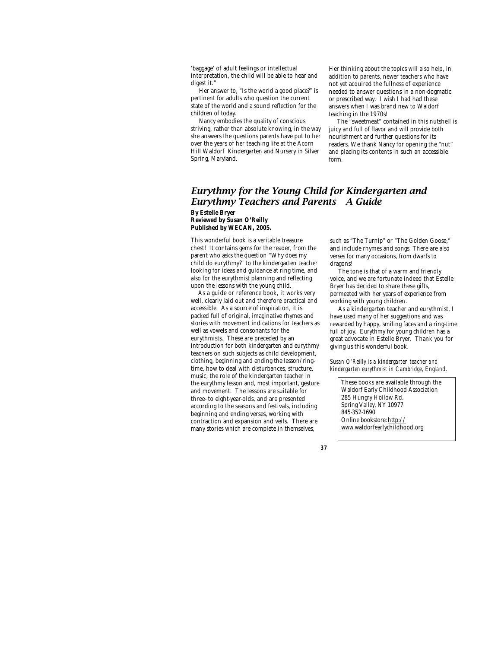'baggage' of adult feelings or intellectual interpretation, the child will be able to hear and digest it."

Her answer to, "Is the world a good place?" is pertinent for adults who question the current state of the world and a sound reflection for the children of today.

Nancy embodies the quality of conscious striving, rather than absolute knowing, in the way she answers the questions parents have put to her over the years of her teaching life at the Acorn Hill Waldorf Kindergarten and Nursery in Silver Spring, Maryland.

Her thinking about the topics will also help, in addition to parents, newer teachers who have not yet acquired the fullness of experience needed to answer questions in a non-dogmatic or prescribed way. I wish I had had these answers when I was brand new to Waldorf teaching in the 1970s!

The "sweetmeat" contained in this nutshell is juicy and full of flavor and will provide both nourishment and further questions for its readers. We thank Nancy for opening the "nut" and placing its contents in such an accessible form.

## *Eurythmy for the Young Child for Kindergarten and Eurythmy Teachers and Parents – A Guide* **By Estelle Bryer Reviewed by Susan O'Reilly Published by WECAN, 2005.**

This wonderful book is a veritable treasure chest! It contains gems for the reader, from the parent who asks the question "Why does my child do eurythmy?" to the kindergarten teacher looking for ideas and guidance at ring time, and also for the eurythmist planning and reflecting upon the lessons with the young child.

 As a guide or reference book, it works very well, clearly laid out and therefore practical and accessible. As a source of inspiration, it is packed full of original, imaginative rhymes and stories with movement indications for teachers as well as vowels and consonants for the eurythmists. These are preceded by an introduction for both kindergarten and eurythmy teachers on such subjects as child development, clothing, beginning and ending the lesson/ringtime, how to deal with disturbances, structure, music, the role of the kindergarten teacher in the eurythmy lesson and, most important, gesture and movement. The lessons are suitable for three- to eight-year-olds, and are presented according to the seasons and festivals, including beginning and ending verses, working with contraction and expansion and veils. There are many stories which are complete in themselves,

such as "The Turnip" or "The Golden Goose," and include rhymes and songs. There are also verses for many occasions, from dwarfs to dragons!

The tone is that of a warm and friendly voice, and we are fortunate indeed that Estelle Bryer has decided to share these gifts, permeated with her years of experience from working with young children.

As a kindergarten teacher and eurythmist, I have used many of her suggestions and was rewarded by happy, smiling faces and a ring-time full of joy. Eurythmy for young children has a great advocate in Estelle Bryer. Thank you for giving us this wonderful book.

*Susan O'Reilly is a kindergarten teacher and kindergarten eurythmist in Cambridge, England*.

These books are available through the Waldorf Early Childhood Association 285 Hungry Hollow Rd. Spring Valley, NY 10977 845-352-1690 Online bookstore: http:// www.waldorfearlychildhood.org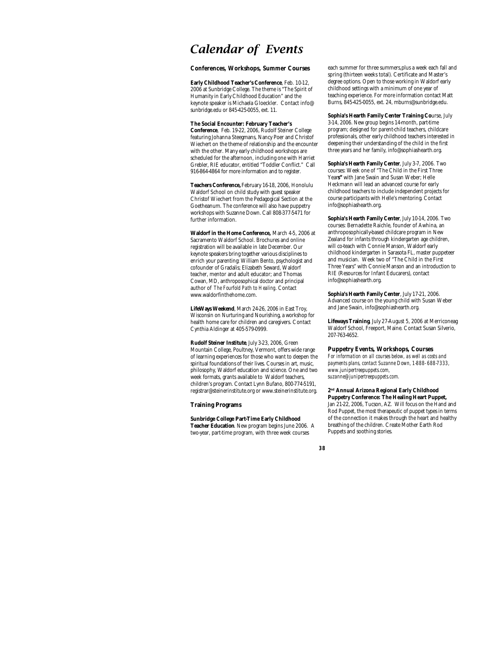# *Calendar of Events*

## **Conferences, Workshops, Summer Courses**

**Early Childhood Teacher's Conference**, Feb. 10-12, 2006 at Sunbridge College. The theme is "The Spirit of Humanity in Early Childhood Education" and the keynote speaker is Michaela Gloeckler. Contact info@ sunbridge.edu or 845-425-0055, ext. 11.

### **The Social Encounter: February Teacher's**

**Conference**, Feb. 19-22, 2006, Rudolf Steiner College featuring Johanna Steegmans, Nancy Poer and Christof Wiechert on the theme of relationship and the encounter with the other. Many early childhood workshops are scheduled for the afternoon, including one with Harriet Grebler, RIE educator, entitled "Toddler Conflict." Call 916-864-4864 for more information and to register.

**Teachers Conference,** February 16-18, 2006, Honolulu Waldorf School on child study with guest speaker Christof Wiechert from the Pedagogical Section at the Goetheanum. The conference will also have puppetry workshops with Suzanne Down. Call 808-377-5471 for further information.

**Waldorf in the Home Conference,** March 4-5, 2006 at Sacramento Waldorf School. Brochures and online registration will be available in late December. Our keynote speakers bring together various disciplines to enrich your parenting: William Bento, psychologist and cofounder of Gradalis; Elizabeth Seward, Waldorf teacher, mentor and adult educator; and Thomas Cowan, MD, anthroposophical doctor and principal author of *The Fourfold Path to Healing*. Contact www.waldorfinthehome.com.

**LifeWays Weekend**, March 24-26, 2006 in East Troy, Wisconsin on Nurturing and Nourishing, a workshop for health home care for children and caregivers. Contact Cynthia Aldinger at 405-579-0999.

**Rudolf Steiner Institute**, July 3-23, 2006, Green Mountain College, Poultney, Vermont, offers wide range of learning experiences for those who want to deepen the spiritual foundations of their lives. Courses in art, music, philosophy, Waldorf education and science. One and two week formats, grants available to Waldorf teachers, children's program. Contact Lynn Bufano, 800-774-5191, registrar@steinerinstitute.org or www.steinerinstitute.org.

### **Training Programs**

**Sunbridge College Part-Time Early Childhood Teacher Education**. New program begins June 2006. A two-year, part-time program, with three week courses

*38*

each summer for three summers,plus a week each fall and spring (thirteen weeks total). Certificate and Master's degree options. Open to those working in Waldorf early childhood settings with a minimum of one year of teaching experience. For more information contact Matt Burns, 845-425-0055, ext. 24, mburns@sunbridge.edu.

**Sophia's Hearth Family Center Training Co**urse, July 3-14, 2006. New group begins 14-month, part-time program; designed for parent-child teachers, childcare professionals, other early childhood teachers interested in deepening their understanding of the child in the first three years and her family, info@sophiashearth.org.

**Sophia's Hearth Family Center**, July 3-7, 2006. Two courses: Week one of "The Child in the First Three Year**s"** with Jane Swain and Susan Weber; Helle Heckmann will lead an advanced course for early childhood teachers to include independent projects for course participants with Helle's mentoring. Contact info@sophiashearth.org.

**Sophia's Hearth Family Center**, July 10-14, 2006. Two courses: Bernadette Raichle, founder of Awhina, an anthroposophically-based childcare program in New Zealand for infants through kindergarten age children, will co-teach with Connie Manson, Waldorf early childhood kindergarten in Sarasota FL, master puppeteer and musician. Week two of "The Child in the First Three Years" with Connie Manson and an introduction to RIE (Resources for Infant Educarers), contact info@sophiashearth.org.

**Sophia's Hearth Family Center**, July 17-21, 2006. Advanced course on the young child with Susan Weber and Jane Swain, info@sophiashearth.org.

**Lifeways Training**, July 27-August 5, 2006 at Merriconeag Waldorf School, Freeport, Maine. Contact Susan Silverio, 207-763-4652.

### **Puppetry Events, Workshops, Courses**

*For information on all courses below, as well as costs and payments plans, contact Suzanne Down, 1-888- 688-7333, www.junipertreepuppets.com, suzanne@junipertreepuppets.com.*

## **2 nd Annual Arizona Regional Early Childhood**

**Puppetry Conference: The Healing Heart Puppet,** Jan 21-22, 2006, Tucson, AZ. Will focus on the Hand and Rod Puppet, the most therapeutic of puppet types in terms of the connection it makes through the heart and healthy breathing of the children. Create Mother Earth Rod Puppets and soothing stories.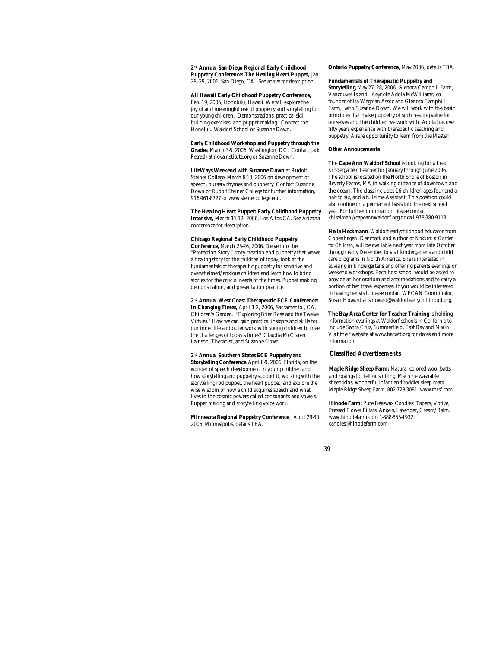**2 nd Annual San Diego Regional Early Childhood Puppetry Conference: The Healing Heart Puppet,** Jan. 28- 29, 2006, San Diego, CA. See above for description.

**All Hawaii Early Childhood Puppetry Conference,**

Feb. 19, 2006, Honolulu, Hawaii. We will explore the joyful and meaningful use of puppetry and storytelling for our young children. Demonstrations, practical skill building exercises, and puppet making. Contact the Honolulu Waldorf School or Suzanne Down.

**Early Childhood Workshop and Puppetry through the Grades**, March 3-5, 2006, Washington, DC. Contact Jack Petrash at novainstitute.org or Suzanne Down.

**LifeWays Weekend with Suzanne Down** at Rudolf Steiner College, March 8-10, 2006 on development of speech, nursery rhymes and puppetry. Contact Suzanne Down or Rudolf Steiner College for further information, 916-961-8727 or www.steinercollege.edu.

**The Healing Heart Puppet: Early Childhood Puppetry Intensive,** March 11-12, 2006, Los Altos CA. See Arizona conference for description.

## **Chicago Regional Early Childhood Puppetry**

**Conference,** March 25-26, 2006. Delve into the "Protection Story," story creation and puppetry that weave a healing story for the children of today, look at the fundamentals of therapeutic puppetry for sensitive and overwhelmed/anxious children and learn how to bring stories for the crucial needs of the times. Puppet making, demonstration, and presentation practice.

**2 nd Annual West Coast Therapeutic ECE Conference: In Changing Times,** April 1-2, 2006, Sacramento , CA, Children's Garden. "Exploring Briar Rose and the Twelve Virtues." How we can gain practical insights and skills for our inner life and outer work with young children to meet the challenges of today's times? Claudia McClaren Lainson, Therapist, and Suzanne Down.

#### **2 nd Annual Southern States ECE Puppetry and**

**Storytelling Conference**, April 8-9, 2006, Florida, on the wonder of speech development in young children and how storytelling and puppetry support it, working with the storytelling rod puppet, the heart puppet, and explore the wise wisdom of how a child acquires speech and what lives in the cosmic powers called consonants and vowels. Puppet making and storytelling voice work.

**Minnesota Regional Puppetry Conference**, April 29-30, 2006, Minneapolis, details TBA.

**Ontario Puppetry Conference**, May 2006, details TBA.

**Fundamentals of Therapeutic Puppetry and Storytelling,** May 27- 28, 2006, Glenora Camphill Farm, Vancouver Island. Keynote Adola McWilliams, cofounder of Ita Wegman Assoc and Glenora Camphill Farm, with Suzanne Down. We will work with the basic principles that make puppetry of such healing value for ourselves and the children we work with. Adola has over fifty years experience with therapeutic teaching and puppetry. A rare opportunity to learn from the Master!

#### **Other Annoucements**

The **Cape Ann Waldorf School** is looking for a Lead Kindergarten Teacher for January through June 2006. The school is located on the North Shore of Boston in Beverly Farms, MA in walking distance of downtown and the ocean. The class includes 16 children ages four-and-ahalf to six, and a full-time Assistant. This position could also contiue on a permanent basis into the next school year. For further information, please contact khiselman@capeannwaldorf.org or call 978-380-9113.

**Hella Heckmann**, Waldorf earlychildhood educator from Copenhagen, Denmark and author of *Nokken: a Garden for Children*, will be available next year from late October through early December to visit kindergartens and child care programs in North America. She is interested in advising in kindergartens and offering parents evenings or weekend workshops. Each host school would be asked to provide an honorarium and accomodations and to carry a portion of her travel expenses. If you would be interested in having her visit, please contact WECAN Coordinator, Susan Howard at showard@waldorfearlychildhood.org.

**The Bay Area Center for Teacher Training** is holding information evenings at Waldorf schools in California to include Santa Cruz, Summerfield, East Bay and Marin. Visit their website at www.bacwtt.org for dates and more information.

## **Classified Advertisements**

**Maple Ridge Sheep Farm:** Natural colored wool batts and rovings for felt or stuffing. Machine washable sheepskins, wonderful infant and toddler sleep mats. Maple Ridge Sheep Farm. 802-728-3081. www.mrsf.com.

**Hinode Farm:** Pure Beeswax Candles: Tapers, Votive, Pressed Flower Pillars, Angels, Lavender, Cream/Balm. www.hinodefarm.com 1-888-855-1932 candles@hinodefarm.com.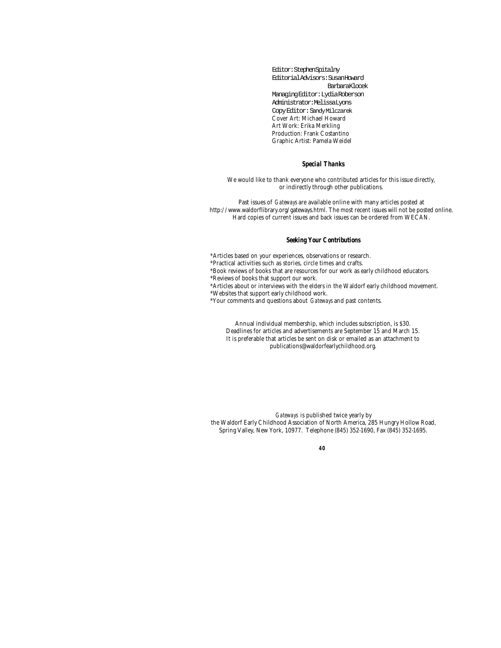Editor: Stephen Spitalny Editorial Advisors: Susan Howard Barbara Klocek Managing Editor: Lydia Roberson Administrator: Melissa Lyons Copy Editor: Sandy Milczarek Cover Art: Michael Howard Art Work: Erika Merkling Production: Frank Costantino Graphic Artist: Pamela Weidel

## *Special Thanks*

We would like to thank everyone who contributed articles for this issue directly, or indirectly through other publications.

Past issues of *Gateways* are available online with many articles posted at http://www.waldorflibrary.org/gateways.html. The most recent issues will not be posted online. Hard copies of current issues and back issues can be ordered from WECAN.

## *Seeking Your Contributions*

\*Articles based on your experiences, observations or research.

\*Practical activities such as stories, circle times and crafts.

\*Book reviews of books that are resources for our work as early childhood educators.

\*Reviews of books that support our work.

\*Articles about or interviews with the elders in the Waldorf early childhood movement.

\*Websites that support early childhood work.

\*Your comments and questions about *Gateways* and past contents.

Annual individual membership, which includes subscription, is \$30. Deadlines for articles and advertisements are September 15 and March 15. It is preferable that articles be sent on disk or emailed as an attachment to publications@waldorfearlychildhood.org.

*Gateways* is published twice yearly by the Waldorf Early Childhood Association of North America, 285 Hungry Hollow Road, Spring Valley, New York, 10977. Telephone (845) 352-1690, Fax (845) 352-1695.